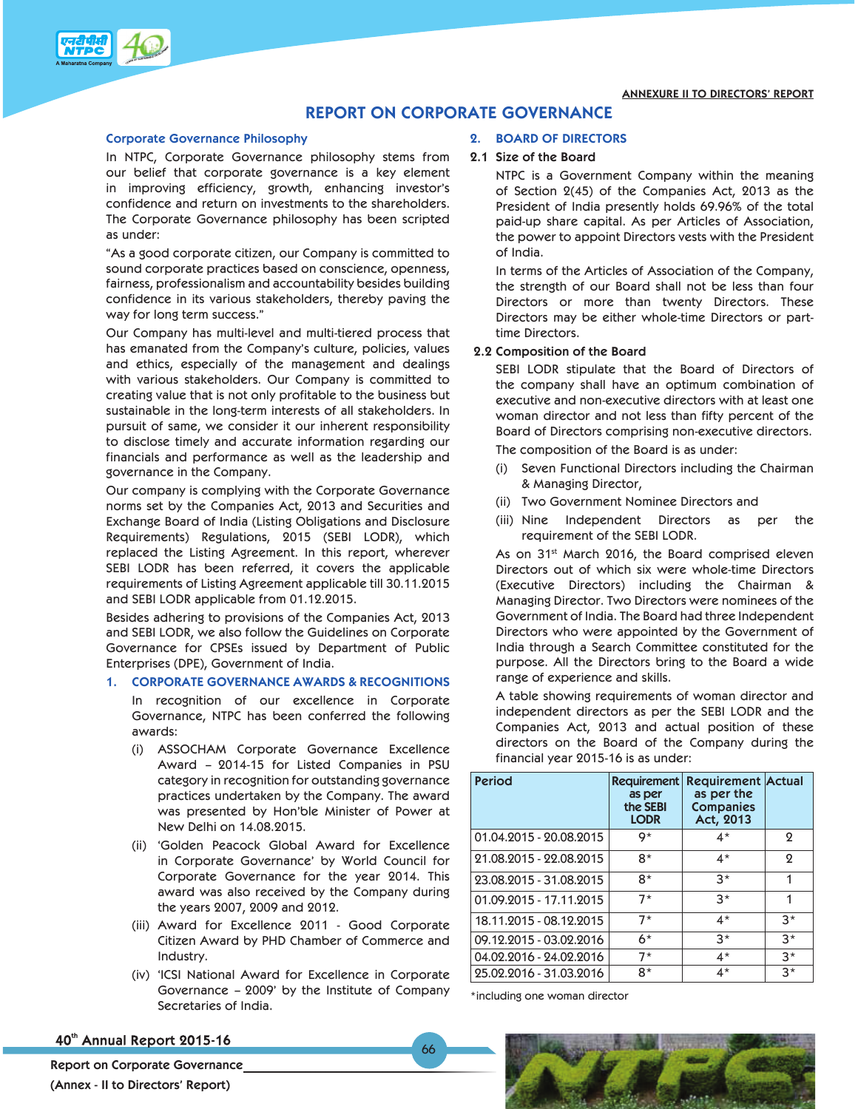

## **REPORT ON CORPORATE GOVERNANCE**

#### **Corporate Governance Philosophy**

In NTPC, Corporate Governance philosophy stems from our belief that corporate governance is a key element in improving efficiency, growth, enhancing investor's confidence and return on investments to the shareholders. The Corporate Governance philosophy has been scripted as under:

"As a good corporate citizen, our Company is committed to sound corporate practices based on conscience, openness, fairness, professionalism and accountability besides building confidence in its various stakeholders, thereby paving the way for long term success."

Our Company has multi-level and multi-tiered process that has emanated from the Company's culture, policies, values and ethics, especially of the management and dealings with various stakeholders. Our Company is committed to creating value that is not only profitable to the business but sustainable in the long-term interests of all stakeholders. In pursuit of same, we consider it our inherent responsibility to disclose timely and accurate information regarding our financials and performance as well as the leadership and governance in the Company.

Our company is complying with the Corporate Governance norms set by the Companies Act, 2013 and Securities and Exchange Board of India (Listing Obligations and Disclosure Requirements) Regulations, 2015 (SEBI LODR), which replaced the Listing Agreement. In this report, wherever SEBI LODR has been referred, it covers the applicable requirements of Listing Agreement applicable till 30.11.2015 and SEBI LODR applicable from 01.12.2015.

Besides adhering to provisions of the Companies Act, 2013 and SEBI LODR, we also follow the Guidelines on Corporate Governance for CPSEs issued by Department of Public Enterprises (DPE), Government of India.

## **1. CORPORATE GOVERNANCE AWARDS & RECOGNITIONS**

In recognition of our excellence in Corporate Governance, NTPC has been conferred the following awards:

- (i) ASSOCHAM Corporate Governance Excellence Award – 2014-15 for Listed Companies in PSU category in recognition for outstanding governance practices undertaken by the Company. The award was presented by Hon'ble Minister of Power at New Delhi on 14.08.2015.
- (ii) 'Golden Peacock Global Award for Excellence in Corporate Governance' by World Council for Corporate Governance for the year 2014. This award was also received by the Company during the years 2007, 2009 and 2012.
- (iii) Award for Excellence 2011 Good Corporate Citizen Award by PHD Chamber of Commerce and Industry.
- (iv) 'ICSI National Award for Excellence in Corporate Governance – 2009' by the Institute of Company Secretaries of India.

## **2. BOARD OF DIRECTORS**

#### **2.1 Size of the Board**

NTPC is a Government Company within the meaning of Section 2(45) of the Companies Act, 2013 as the President of India presently holds 69.96% of the total paid-up share capital. As per Articles of Association, the power to appoint Directors vests with the President of India.

 In terms of the Articles of Association of the Company, the strength of our Board shall not be less than four Directors or more than twenty Directors. These Directors may be either whole-time Directors or parttime Directors.

## **2.2 Composition of the Board**

SEBI LODR stipulate that the Board of Directors of the company shall have an optimum combination of executive and non-executive directors with at least one woman director and not less than fifty percent of the Board of Directors comprising non-executive directors.

The composition of the Board is as under:

- (i) Seven Functional Directors including the Chairman & Managing Director,
- (ii) Two Government Nominee Directors and
- (iii) Nine Independent Directors as per the requirement of the SEBI LODR.

As on 31<sup>st</sup> March 2016, the Board comprised eleven Directors out of which six were whole-time Directors (Executive Directors) including the Chairman & Managing Director. Two Directors were nominees of the Government of India. The Board had three Independent Directors who were appointed by the Government of India through a Search Committee constituted for the purpose. All the Directors bring to the Board a wide range of experience and skills.

A table showing requirements of woman director and independent directors as per the SEBI LODR and the Companies Act, 2013 and actual position of these directors on the Board of the Company during the financial year 2015-16 is as under:

| <b>Period</b>           | <b>Requirement</b><br>as per<br>the SEBI<br><b>LODR</b> | <b>Requirement Actual</b><br>as per the<br><b>Companies</b><br>Act, 2013 |      |
|-------------------------|---------------------------------------------------------|--------------------------------------------------------------------------|------|
| 01.04.2015 - 20.08.2015 | 9*                                                      | $4*$                                                                     | ջ    |
| 21.08.2015 - 22.08.2015 | 8*                                                      | $4^*$                                                                    | 2    |
| 23.08.2015 - 31.08.2015 | $8*$                                                    | $3*$                                                                     |      |
| 01.09.2015 - 17.11.2015 | $7*$                                                    | $3*$                                                                     |      |
| 18.11.2015 - 08.12.2015 | $7*$                                                    | $4^*$                                                                    | $3*$ |
| 09.12.2015 - 03.02.2016 | 6*                                                      | $3*$                                                                     | $3*$ |
| 04.02.2016 - 24.02.2016 | $7*$                                                    | 4*                                                                       | $3*$ |
| 25.02.2016 - 31.03.2016 | 8*                                                      | $4*$                                                                     | $3*$ |

\*including one woman director

66

40th Annual Report 2015-16

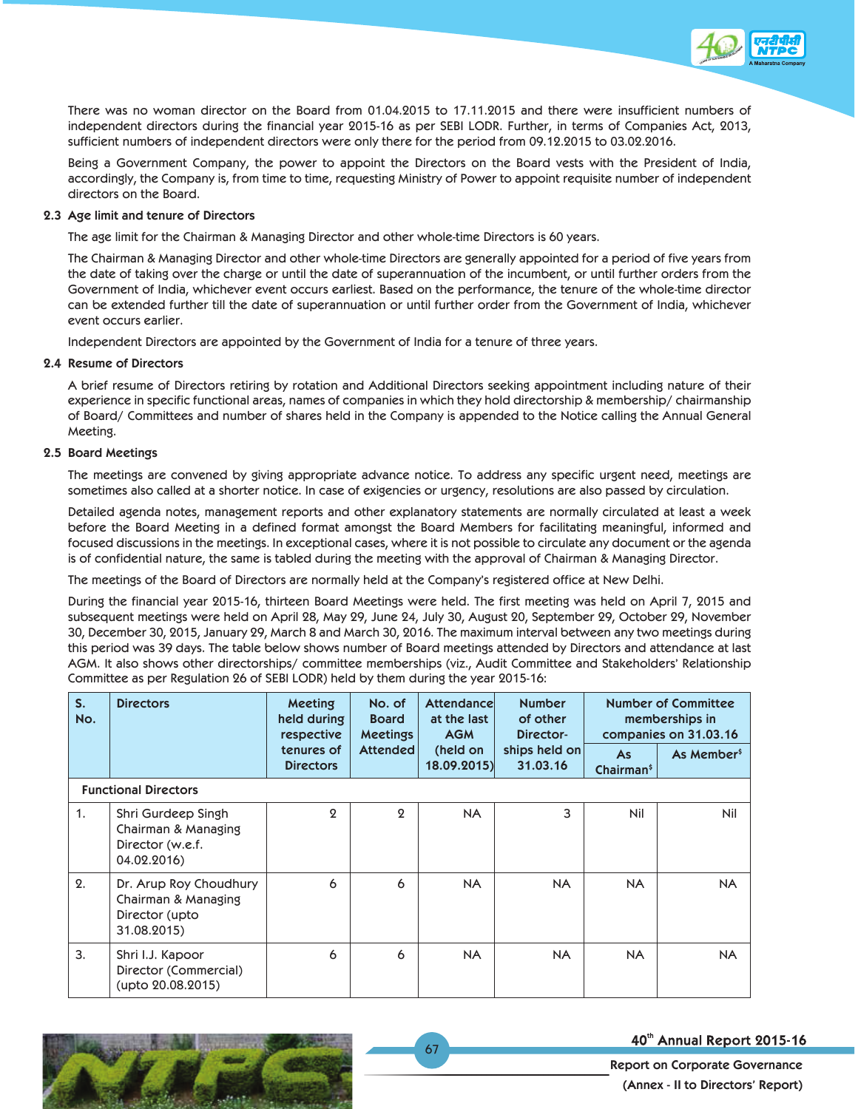

 Being a Government Company, the power to appoint the Directors on the Board vests with the President of India, accordingly, the Company is, from time to time, requesting Ministry of Power to appoint requisite number of independent directors on the Board.

## **2.3 Age limit and tenure of Directors**

The age limit for the Chairman & Managing Director and other whole-time Directors is 60 years.

 The Chairman & Managing Director and other whole-time Directors are generally appointed for a period of five years from the date of taking over the charge or until the date of superannuation of the incumbent, or until further orders from the Government of India, whichever event occurs earliest. Based on the performance, the tenure of the whole-time director can be extended further till the date of superannuation or until further order from the Government of India, whichever event occurs earlier.

Independent Directors are appointed by the Government of India for a tenure of three years.

### **2.4 Resume of Directors**

 A brief resume of Directors retiring by rotation and Additional Directors seeking appointment including nature of their experience in specific functional areas, names of companies in which they hold directorship & membership/ chairmanship of Board/ Committees and number of shares held in the Company is appended to the Notice calling the Annual General Meeting.

### **2.5 Board Meetings**

 The meetings are convened by giving appropriate advance notice. To address any specific urgent need, meetings are sometimes also called at a shorter notice. In case of exigencies or urgency, resolutions are also passed by circulation.

 Detailed agenda notes, management reports and other explanatory statements are normally circulated at least a week before the Board Meeting in a defined format amongst the Board Members for facilitating meaningful, informed and focused discussions in the meetings. In exceptional cases, where it is not possible to circulate any document or the agenda is of confidential nature, the same is tabled during the meeting with the approval of Chairman & Managing Director.

The meetings of the Board of Directors are normally held at the Company's registered office at New Delhi.

 During the financial year 2015-16, thirteen Board Meetings were held. The first meeting was held on April 7, 2015 and subsequent meetings were held on April 28, May 29, June 24, July 30, August 20, September 29, October 29, November 30, December 30, 2015, January 29, March 8 and March 30, 2016. The maximum interval between any two meetings during this period was 39 days. The table below shows number of Board meetings attended by Directors and attendance at last AGM. It also shows other directorships/ committee memberships (viz., Audit Committee and Stakeholders' Relationship Committee as per Regulation 26 of SEBI LODR) held by them during the year 2015-16:

| $S_{1}$<br>No.   | <b>Directors</b>                                                               | <b>Meeting</b><br>held during<br>respective | No. of<br><b>Board</b><br><b>Meetings</b> | Attendancel<br>at the last<br><b>AGM</b> | <b>Number</b><br>of other<br>Director- |                                     | <b>Number of Committee</b><br>memberships in<br>companies on 31.03.16 |
|------------------|--------------------------------------------------------------------------------|---------------------------------------------|-------------------------------------------|------------------------------------------|----------------------------------------|-------------------------------------|-----------------------------------------------------------------------|
|                  |                                                                                | tenures of<br><b>Directors</b>              | <b>Attended</b>                           | (held on<br>18.09.2015)                  | ships held on<br>31.03.16              | <b>As</b><br>Chairman <sup>\$</sup> | As Member <sup>\$</sup>                                               |
|                  | <b>Functional Directors</b>                                                    |                                             |                                           |                                          |                                        |                                     |                                                                       |
| 1.               | Shri Gurdeep Singh<br>Chairman & Managing<br>Director (w.e.f.<br>04.02.2016)   | 9                                           | $\Omega$                                  | <b>NA</b>                                | 3                                      | Nil                                 | Nil                                                                   |
| 2.               | Dr. Arup Roy Choudhury<br>Chairman & Managing<br>Director (upto<br>31.08.2015) | 6                                           | 6                                         | <b>NA</b>                                | <b>NA</b>                              | <b>NA</b>                           | <b>NA</b>                                                             |
| $\overline{3}$ . | Shri I.J. Kapoor<br>Director (Commercial)<br>(upto 20.08.2015)                 | 6                                           | 6                                         | <b>NA</b>                                | <b>NA</b>                              | <b>NA</b>                           | <b>NA</b>                                                             |

67



40th Annual Report 2015-16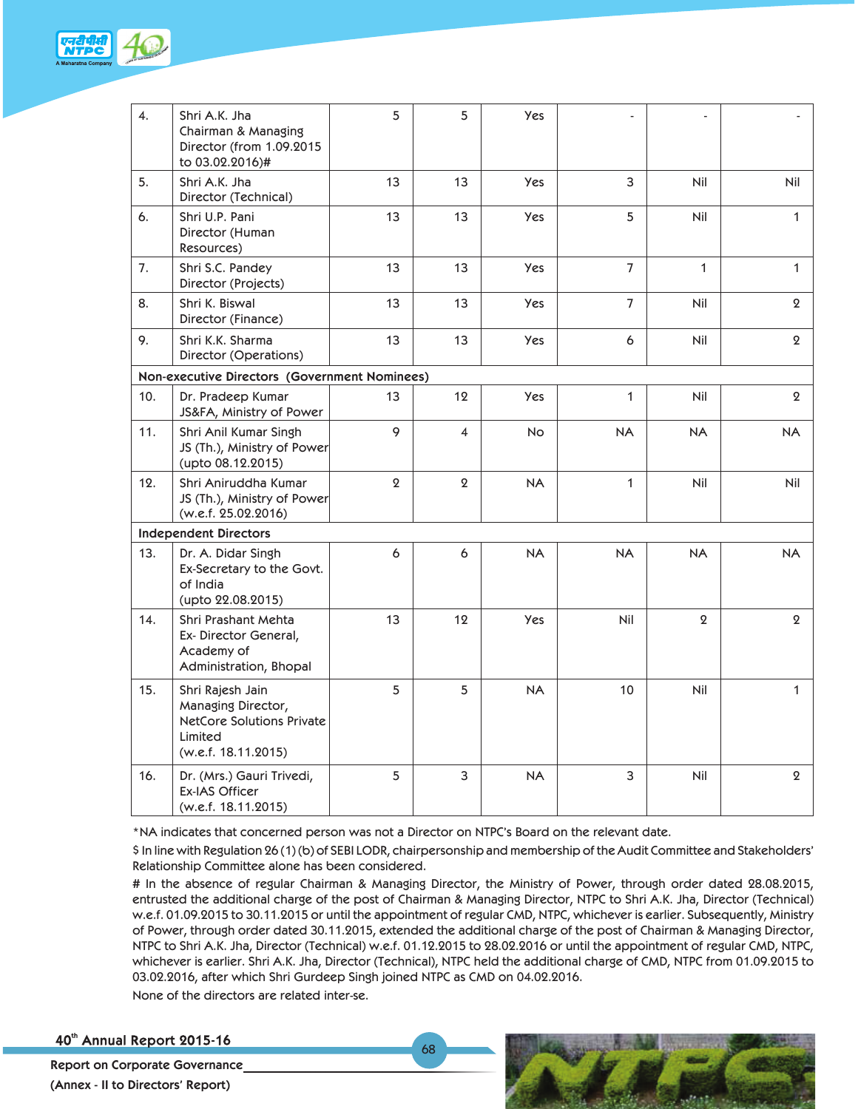

| $\overline{4}$ . | Shri A.K. Jha<br>Chairman & Managing<br>Director (from 1.09.2015<br>to 03.02.2016)#                          | 5         | 5                        | Yes        |                |              |                  |
|------------------|--------------------------------------------------------------------------------------------------------------|-----------|--------------------------|------------|----------------|--------------|------------------|
| 5.               | Shri A.K. Jha<br>Director (Technical)                                                                        | 13        | 13                       | <b>Yes</b> | 3              | Nil          | Nil              |
| 6.               | Shri U.P. Pani<br>Director (Human<br>Resources)                                                              | 13        | 13                       | Yes        | 5              | Nil          | $\mathbf{1}$     |
| 7.               | Shri S.C. Pandey<br>Director (Projects)                                                                      | 13        | 13                       | <b>Yes</b> | $\overline{7}$ | $\mathbf{1}$ | 1                |
| 8.               | Shri K. Biswal<br>Director (Finance)                                                                         | 13        | 13                       | Yes        | $\overline{7}$ | Nil          | $\boldsymbol{2}$ |
| 9.               | Shri K.K. Sharma<br>Director (Operations)                                                                    | 13        | 13                       | Yes        | 6              | Nil          | $\boldsymbol{2}$ |
|                  | Non-executive Directors (Government Nominees)                                                                |           |                          |            |                |              |                  |
| 10.              | Dr. Pradeep Kumar<br>JS&FA, Ministry of Power                                                                | 13        | 12                       | <b>Yes</b> | $\mathbf{1}$   | Nil          | $\overline{2}$   |
| 11.              | Shri Anil Kumar Singh<br>JS (Th.), Ministry of Power<br>(upto 08.12.2015)                                    | 9         | $\overline{\mathcal{A}}$ | <b>No</b>  | <b>NA</b>      | NA           | <b>NA</b>        |
| 12.              | Shri Aniruddha Kumar<br>JS (Th.), Ministry of Power<br>(w.e.f. 25.02.2016)                                   | $\pmb{2}$ | $\boldsymbol{2}$         | <b>NA</b>  | $\mathbf{1}$   | Nil          | Nil              |
|                  | <b>Independent Directors</b>                                                                                 |           |                          |            |                |              |                  |
| 13.              | Dr. A. Didar Singh<br>Ex-Secretary to the Govt.<br>of India<br>(upto 22.08.2015)                             | 6         | 6                        | <b>NA</b>  | <b>NA</b>      | <b>NA</b>    | <b>NA</b>        |
| 14.              | Shri Prashant Mehta<br>Ex-Director General,<br>Academy of<br>Administration, Bhopal                          | 13        | 12                       | <b>Yes</b> | Nil            | $\mathbf{Q}$ | $\mathbf{2}$     |
| 15.              | Shri Rajesh Jain<br>Managing Director,<br><b>NetCore Solutions Private</b><br>Limited<br>(w.e.f. 18.11.2015) | 5         | 5                        | <b>NA</b>  | 10             | Nil          | $\mathbf{1}$     |
| 16.              | Dr. (Mrs.) Gauri Trivedi,<br>Ex-IAS Officer<br>(w.e.f. 18.11.2015)                                           | 5         | 3                        | <b>NA</b>  | 3              | Nil          | $\mathbf{Q}$     |

\*NA indicates that concerned person was not a Director on NTPC's Board on the relevant date.

68

\$ In line with Regulation 26 (1) (b) of SEBI LODR, chairpersonship and membership of the Audit Committee and Stakeholders' Relationship Committee alone has been considered.

# In the absence of regular Chairman & Managing Director, the Ministry of Power, through order dated 28.08.2015, entrusted the additional charge of the post of Chairman & Managing Director, NTPC to Shri A.K. Jha, Director (Technical) w.e.f. 01.09.2015 to 30.11.2015 or until the appointment of regular CMD, NTPC, whichever is earlier. Subsequently, Ministry of Power, through order dated 30.11.2015, extended the additional charge of the post of Chairman & Managing Director, NTPC to Shri A.K. Jha, Director (Technical) w.e.f. 01.12.2015 to 28.02.2016 or until the appointment of regular CMD, NTPC, whichever is earlier. Shri A.K. Jha, Director (Technical), NTPC held the additional charge of CMD, NTPC from 01.09.2015 to 03.02.2016, after which Shri Gurdeep Singh joined NTPC as CMD on 04.02.2016. None of the directors are related inter-se.

40th Annual Report 2015-16

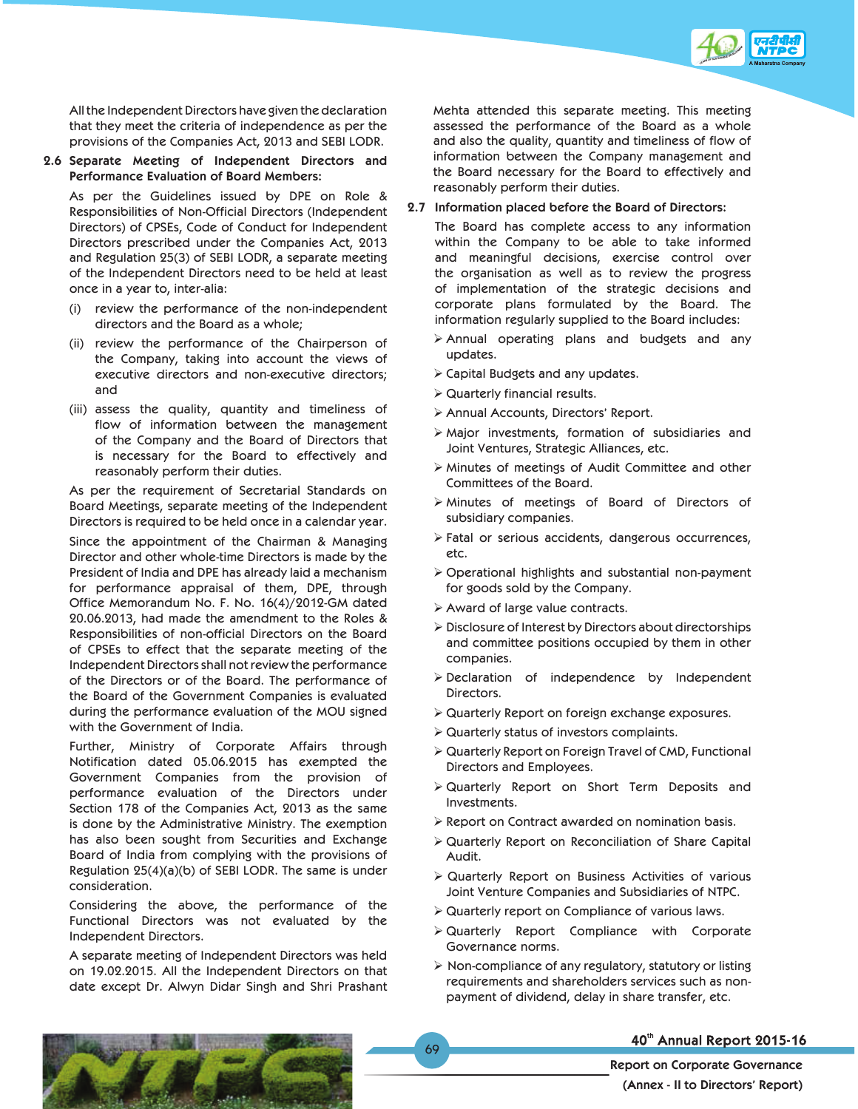

All the Independent Directors have given the declaration that they meet the criteria of independence as per the provisions of the Companies Act, 2013 and SEBI LODR.

**2.6 Separate Meeting of Independent Directors and Performance Evaluation of Board Members:** 

As per the Guidelines issued by DPE on Role & Responsibilities of Non-Official Directors (Independent Directors) of CPSEs, Code of Conduct for Independent Directors prescribed under the Companies Act, 2013 and Regulation 25(3) of SEBI LODR, a separate meeting of the Independent Directors need to be held at least once in a year to, inter-alia:

- (i) review the performance of the non-independent directors and the Board as a whole;
- (ii) review the performance of the Chairperson of the Company, taking into account the views of executive directors and non-executive directors; and
- (iii) assess the quality, quantity and timeliness of flow of information between the management of the Company and the Board of Directors that is necessary for the Board to effectively and reasonably perform their duties.

As per the requirement of Secretarial Standards on Board Meetings, separate meeting of the Independent Directors is required to be held once in a calendar year.

Since the appointment of the Chairman & Managing Director and other whole-time Directors is made by the President of India and DPE has already laid a mechanism for performance appraisal of them, DPE, through Office Memorandum No. F. No. 16(4)/2012-GM dated 20.06.2013, had made the amendment to the Roles & Responsibilities of non-official Directors on the Board of CPSEs to effect that the separate meeting of the Independent Directors shall not review the performance of the Directors or of the Board. The performance of the Board of the Government Companies is evaluated during the performance evaluation of the MOU signed with the Government of India.

Further, Ministry of Corporate Affairs through Notification dated 05.06.2015 has exempted the Government Companies from the provision of performance evaluation of the Directors under Section 178 of the Companies Act, 2013 as the same is done by the Administrative Ministry. The exemption has also been sought from Securities and Exchange Board of India from complying with the provisions of Regulation 25(4)(a)(b) of SEBI LODR. The same is under consideration.

Considering the above, the performance of the Functional Directors was not evaluated by the Independent Directors.

A separate meeting of Independent Directors was held on 19.02.2015. All the Independent Directors on that date except Dr. Alwyn Didar Singh and Shri Prashant

Mehta attended this separate meeting. This meeting assessed the performance of the Board as a whole and also the quality, quantity and timeliness of flow of information between the Company management and the Board necessary for the Board to effectively and reasonably perform their duties.

#### **2.7 Information placed before the Board of Directors:**

The Board has complete access to any information within the Company to be able to take informed and meaningful decisions, exercise control over the organisation as well as to review the progress of implementation of the strategic decisions and corporate plans formulated by the Board. The information regularly supplied to the Board includes:

- ¾ Annual operating plans and budgets and any updates.
- $\triangleright$  Capital Budgets and any updates.
- $\triangleright$  Quarterly financial results.
- ¾ Annual Accounts, Directors' Report.
- $\triangleright$  Major investments, formation of subsidiaries and Joint Ventures, Strategic Alliances, etc.
- ¾ Minutes of meetings of Audit Committee and other Committees of the Board.
- ¾ Minutes of meetings of Board of Directors of subsidiary companies.
- $\triangleright$  Fatal or serious accidents, dangerous occurrences, etc.
- ¾ Operational highlights and substantial non-payment for goods sold by the Company.
- $\triangleright$  Award of large value contracts.
- $\triangleright$  Disclosure of Interest by Directors about directorships and committee positions occupied by them in other companies.
- ¾ Declaration of independence by Independent Directors.
- ¾ Quarterly Report on foreign exchange exposures.
- $\triangleright$  Quarterly status of investors complaints.
- ¾ Quarterly Report on Foreign Travel of CMD, Functional Directors and Employees.
- ¾ Quarterly Report on Short Term Deposits and Investments.
- $\triangleright$  Report on Contract awarded on nomination basis.
- ¾ Quarterly Report on Reconciliation of Share Capital Audit.
- ¾ Quarterly Report on Business Activities of various Joint Venture Companies and Subsidiaries of NTPC.
- $\triangleright$  Quarterly report on Compliance of various laws.
- ¾ Quarterly Report Compliance with Corporate Governance norms.
- $\triangleright$  Non-compliance of any regulatory, statutory or listing requirements and shareholders services such as nonpayment of dividend, delay in share transfer, etc.

69



## 40th Annual Report 2015-16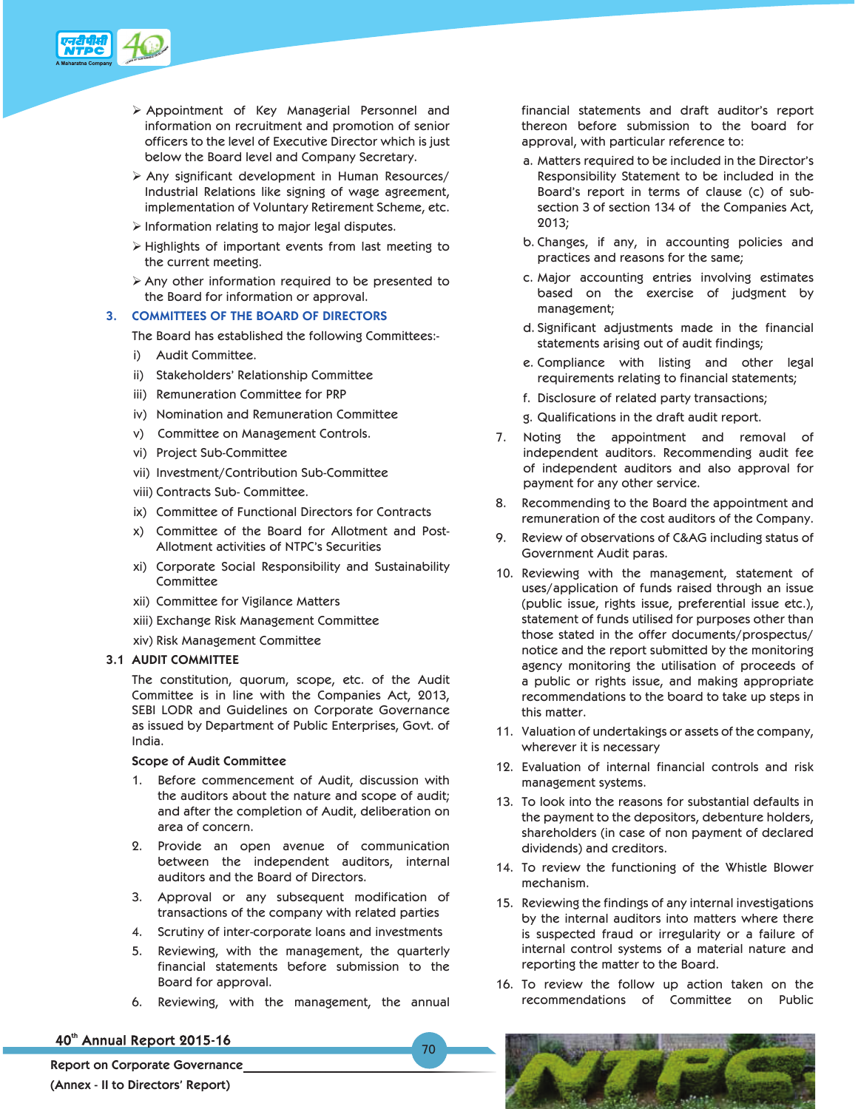

- ¾ Appointment of Key Managerial Personnel and information on recruitment and promotion of senior officers to the level of Executive Director which is just below the Board level and Company Secretary.
- $\triangleright$  Any significant development in Human Resources/ Industrial Relations like signing of wage agreement, implementation of Voluntary Retirement Scheme, etc.
- $\triangleright$  Information relating to major legal disputes.
- $\triangleright$  Highlights of important events from last meeting to the current meeting.
- $\triangleright$  Any other information required to be presented to the Board for information or approval.

## **3. COMMITTEES OF THE BOARD OF DIRECTORS**

The Board has established the following Committees:-

- i) Audit Committee.
- ii) Stakeholders' Relationship Committee
- iii) Remuneration Committee for PRP
- iv) Nomination and Remuneration Committee
- v) Committee on Management Controls.
- vi) Project Sub-Committee
- vii) Investment/Contribution Sub-Committee
- viii) Contracts Sub- Committee.
- ix) Committee of Functional Directors for Contracts
- x) Committee of the Board for Allotment and Post-Allotment activities of NTPC's Securities
- xi) Corporate Social Responsibility and Sustainability Committee
- xii) Committee for Vigilance Matters
- xiii) Exchange Risk Management Committee
- xiv) Risk Management Committee

## **3.1 AUDIT COMMITTEE**

The constitution, quorum, scope, etc. of the Audit Committee is in line with the Companies Act, 2013, SEBI LODR and Guidelines on Corporate Governance as issued by Department of Public Enterprises, Govt. of India.

## **Scope of Audit Committee**

- 1. Before commencement of Audit, discussion with the auditors about the nature and scope of audit; and after the completion of Audit, deliberation on area of concern.
- 2. Provide an open avenue of communication between the independent auditors, internal auditors and the Board of Directors.
- 3. Approval or any subsequent modification of transactions of the company with related parties
- 4. Scrutiny of inter-corporate loans and investments
- 5. Reviewing, with the management, the quarterly financial statements before submission to the Board for approval.
- 6. Reviewing, with the management, the annual

70

## 40th Annual Report 2015-16

**Report on Corporate Governance (Annex - II to Directors' Report)** 

financial statements and draft auditor's report thereon before submission to the board for approval, with particular reference to:

- a. Matters required to be included in the Director's Responsibility Statement to be included in the Board's report in terms of clause (c) of subsection 3 of section 134 of the Companies Act, 2013;
- b. Changes, if any, in accounting policies and practices and reasons for the same;
- c. Major accounting entries involving estimates based on the exercise of judgment by management;
- d. Significant adjustments made in the financial statements arising out of audit findings;
- e. Compliance with listing and other legal requirements relating to financial statements;
- f. Disclosure of related party transactions;
- g. Qualifications in the draft audit report.
- 7. Noting the appointment and removal of independent auditors. Recommending audit fee of independent auditors and also approval for payment for any other service.
- 8. Recommending to the Board the appointment and remuneration of the cost auditors of the Company.
- 9. Review of observations of C&AG including status of Government Audit paras.
- 10. Reviewing with the management, statement of uses/application of funds raised through an issue (public issue, rights issue, preferential issue etc.), statement of funds utilised for purposes other than those stated in the offer documents/prospectus/ notice and the report submitted by the monitoring agency monitoring the utilisation of proceeds of a public or rights issue, and making appropriate recommendations to the board to take up steps in this matter.
- 11. Valuation of undertakings or assets of the company, wherever it is necessary
- 12. Evaluation of internal financial controls and risk management systems.
- 13. To look into the reasons for substantial defaults in the payment to the depositors, debenture holders, shareholders (in case of non payment of declared dividends) and creditors.
- 14. To review the functioning of the Whistle Blower mechanism.
- 15. Reviewing the findings of any internal investigations by the internal auditors into matters where there is suspected fraud or irregularity or a failure of internal control systems of a material nature and reporting the matter to the Board.
- 16. To review the follow up action taken on the recommendations of Committee on Public

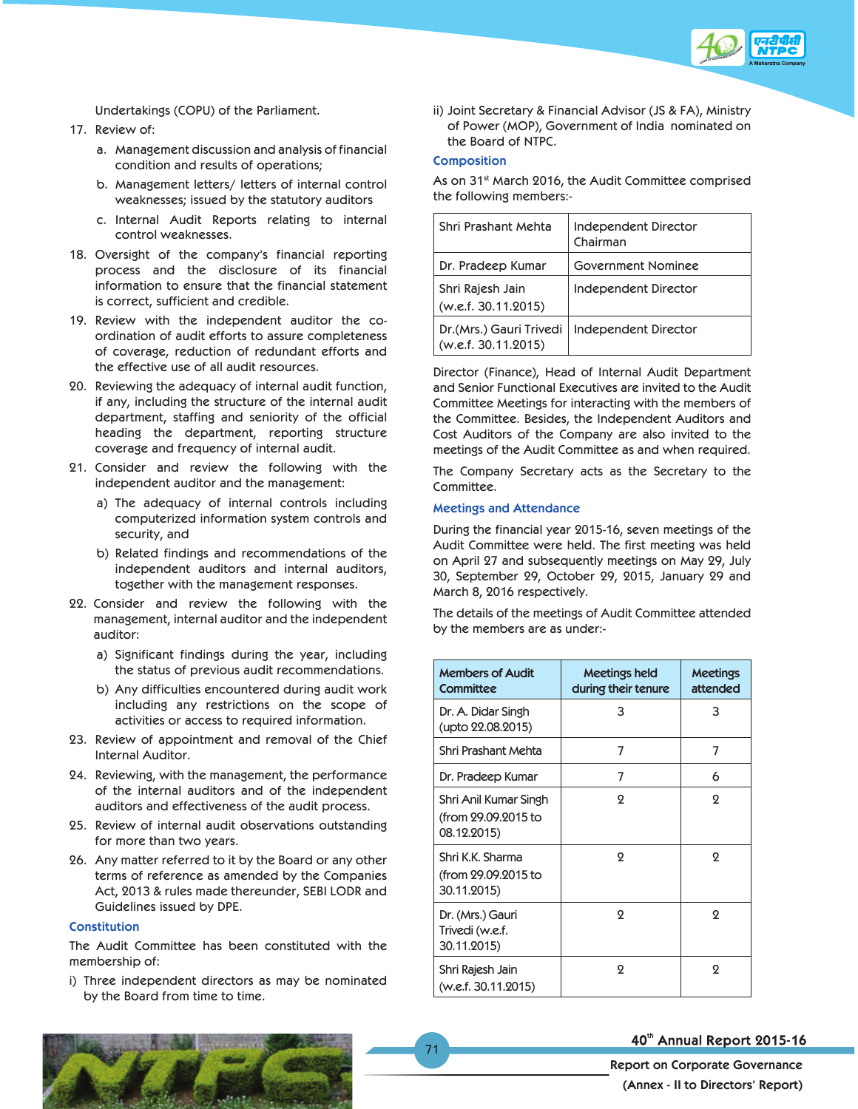

Undertakings (COPU) of the Parliament.

- 17. Review of:
	- a. Management discussion and analysis of financial condition and results of operations;
	- b. Management letters/ letters of internal control weaknesses; issued by the statutory auditors
	- c. Internal Audit Reports relating to internal control weaknesses.
- 18. Oversight of the company's financial reporting process and the disclosure of its financial information to ensure that the financial statement is correct, sufficient and credible.
- 19. Review with the independent auditor the coordination of audit efforts to assure completeness of coverage, reduction of redundant efforts and the effective use of all audit resources.
- 20. Reviewing the adequacy of internal audit function, if any, including the structure of the internal audit department, staffing and seniority of the official heading the department, reporting structure coverage and frequency of internal audit.
- 21. Consider and review the following with the independent auditor and the management:
	- a) The adequacy of internal controls including computerized information system controls and security, and
	- b) Related findings and recommendations of the independent auditors and internal auditors, together with the management responses.
- 22. Consider and review the following with the management, internal auditor and the independent auditor:
	- a) Significant findings during the year, including the status of previous audit recommendations.
	- b) Any difficulties encountered during audit work including any restrictions on the scope of activities or access to required information.
- 23. Review of appointment and removal of the Chief Internal Auditor.
- 24. Reviewing, with the management, the performance of the internal auditors and of the independent auditors and effectiveness of the audit process.
- 25. Review of internal audit observations outstanding for more than two years.
- 26. Any matter referred to it by the Board or any other terms of reference as amended by the Companies Act, 2013 & rules made thereunder, SEBI LODR and Guidelines issued by DPE.

## **Constitution**

The Audit Committee has been constituted with the membership of:

i) Three independent directors as may be nominated by the Board from time to time.

ii) Joint Secretary & Financial Advisor (JS & FA), Ministry of Power (MOP), Government of India nominated on the Board of NTPC.

## **Composition**

As on 31<sup>st</sup> March 2016, the Audit Committee comprised the following members:-

| Shri Prashant Mehta                            | Independent Director<br>Chairman |
|------------------------------------------------|----------------------------------|
| Dr. Pradeep Kumar                              | Government Nominee               |
| Shri Rajesh Jain<br>(w.e.f. 30.11.2015)        | Independent Director             |
| Dr.(Mrs.) Gauri Trivedi<br>(w.e.f. 30.11.2015) | Independent Director             |

Director (Finance), Head of Internal Audit Department and Senior Functional Executives are invited to the Audit Committee Meetings for interacting with the members of the Committee. Besides, the Independent Auditors and Cost Auditors of the Company are also invited to the meetings of the Audit Committee as and when required.

The Company Secretary acts as the Secretary to the Committee.

## **Meetings and Attendance**

During the financial year 2015-16, seven meetings of the Audit Committee were held. The first meeting was held on April 27 and subsequently meetings on May 29, July 30, September 29, October 29, 2015, January 29 and March 8, 2016 respectively.

The details of the meetings of Audit Committee attended by the members are as under:-

| <b>Members of Audit</b><br><b>Committee</b>                 | Meetings held<br>during their tenure | <b>Meetings</b><br>attended |
|-------------------------------------------------------------|--------------------------------------|-----------------------------|
| Dr. A. Didar Singh<br>(upto 22.08.2015)                     | 3                                    | 3                           |
| Shri Prashant Mehta                                         | 7                                    | 7                           |
| Dr. Pradeep Kumar                                           | 7                                    | 6                           |
| Shri Anil Kumar Singh<br>(from 29.09.2015 to<br>08.12.2015) | $\Omega$                             | $\Omega$                    |
| Shri K.K. Sharma<br>(from 29.09.2015 to<br>30.11.2015)      | $\Omega$                             | 2                           |
| Dr. (Mrs.) Gauri<br>Trivedi (w.e.f.<br>30.11.2015)          | $\Omega$                             | 2                           |
| Shri Rajesh Jain<br>(w.e.f. 30.11.2015)                     | ջ                                    | 2                           |

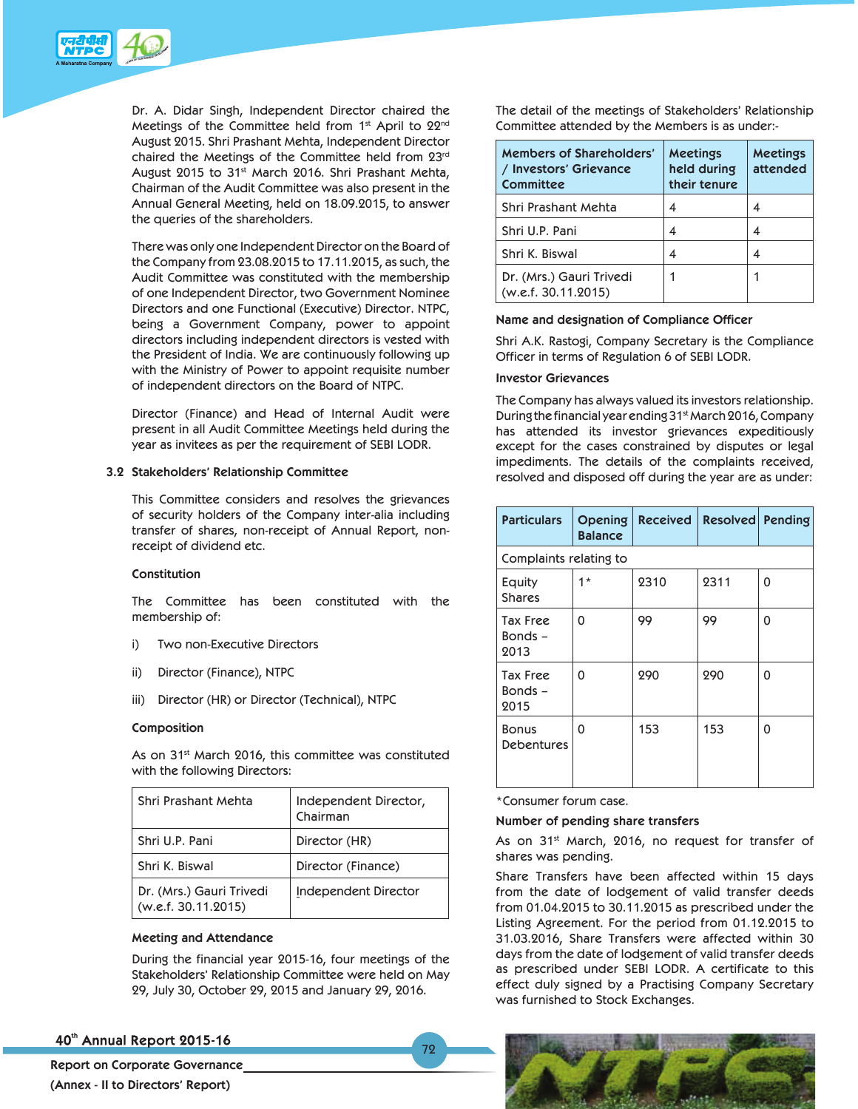

Dr. A. Didar Singh, Independent Director chaired the Meetings of the Committee held from 1st April to 22nd August 2015. Shri Prashant Mehta, Independent Director chaired the Meetings of the Committee held from 23rd August 2015 to 31<sup>st</sup> March 2016. Shri Prashant Mehta, Chairman of the Audit Committee was also present in the Annual General Meeting, held on 18.09.2015, to answer the queries of the shareholders.

 There was only one Independent Director on the Board of the Company from 23.08.2015 to 17.11.2015, as such, the Audit Committee was constituted with the membership of one Independent Director, two Government Nominee Directors and one Functional (Executive) Director. NTPC, being a Government Company, power to appoint directors including independent directors is vested with the President of India. We are continuously following up with the Ministry of Power to appoint requisite number of independent directors on the Board of NTPC.

 Director (Finance) and Head of Internal Audit were present in all Audit Committee Meetings held during the year as invitees as per the requirement of SEBI LODR.

### **3.2 Stakeholders' Relationship Committee**

 This Committee considers and resolves the grievances of security holders of the Company inter-alia including transfer of shares, non-receipt of Annual Report, nonreceipt of dividend etc.

#### **Constitution**

 The Committee has been constituted with the membership of:

- i) Two non-Executive Directors
- ii) Director (Finance), NTPC
- iii) Director (HR) or Director (Technical), NTPC

#### **Composition**

As on 31<sup>st</sup> March 2016, this committee was constituted with the following Directors:

| Shri Prashant Mehta                             | Independent Director,<br>Chairman |
|-------------------------------------------------|-----------------------------------|
| Shri U.P. Pani                                  | Director (HR)                     |
| Shri K. Biswal                                  | Director (Finance)                |
| Dr. (Mrs.) Gauri Trivedi<br>(w.e.f. 30.11.2015) | Independent Director              |

#### **Meeting and Attendance**

 During the financial year 2015-16, four meetings of the Stakeholders' Relationship Committee were held on May 29, July 30, October 29, 2015 and January 29, 2016.

79

## 40th Annual Report 2015-16

**Report on Corporate Governance (Annex - II to Directors' Report)** 

 The detail of the meetings of Stakeholders' Relationship Committee attended by the Members is as under:-

| Members of Shareholders'<br>/ Investors' Grievance<br><b>Committee</b> | <b>Meetings</b><br>held during<br>their tenure | <b>Meetings</b><br>attended |
|------------------------------------------------------------------------|------------------------------------------------|-----------------------------|
| Shri Prashant Mehta                                                    |                                                |                             |
| Shri U.P. Pani                                                         |                                                |                             |
| Shri K. Biswal                                                         |                                                |                             |
| Dr. (Mrs.) Gauri Trivedi<br>(w.e.f. 30.11.2015)                        |                                                |                             |

#### **Name and designation of Compliance Officer**

 Shri A.K. Rastogi, Company Secretary is the Compliance Officer in terms of Regulation 6 of SEBI LODR.

#### **Investor Grievances**

 The Company has always valued its investors relationship. During the financial year ending 31st March 2016, Company has attended its investor grievances expeditiously except for the cases constrained by disputes or legal impediments. The details of the complaints received, resolved and disposed off during the year are as under:

| <b>Particulars</b>                 | <b>Opening</b><br><b>Balance</b> | <b>Received</b> | <b>Resolved Pending</b> |   |
|------------------------------------|----------------------------------|-----------------|-------------------------|---|
| Complaints relating to             |                                  |                 |                         |   |
| Equity<br><b>Shares</b>            | $1*$                             | 2310            | 2311                    | 0 |
| <b>Tax Free</b><br>Bonds -<br>2013 | 0                                | 99              | 99                      | 0 |
| <b>Tax Free</b><br>Bonds -<br>2015 | 0                                | 290             | 290                     | 0 |
| <b>Bonus</b><br><b>Debentures</b>  | 0                                | 153             | 153                     | 0 |

\*Consumer forum case.

#### **Number of pending share transfers**

As on 31<sup>st</sup> March, 2016, no request for transfer of shares was pending.

 Share Transfers have been affected within 15 days from the date of lodgement of valid transfer deeds from 01.04.2015 to 30.11.2015 as prescribed under the Listing Agreement. For the period from 01.12.2015 to 31.03.2016, Share Transfers were affected within 30 days from the date of lodgement of valid transfer deeds as prescribed under SEBI LODR. A certificate to this effect duly signed by a Practising Company Secretary was furnished to Stock Exchanges.

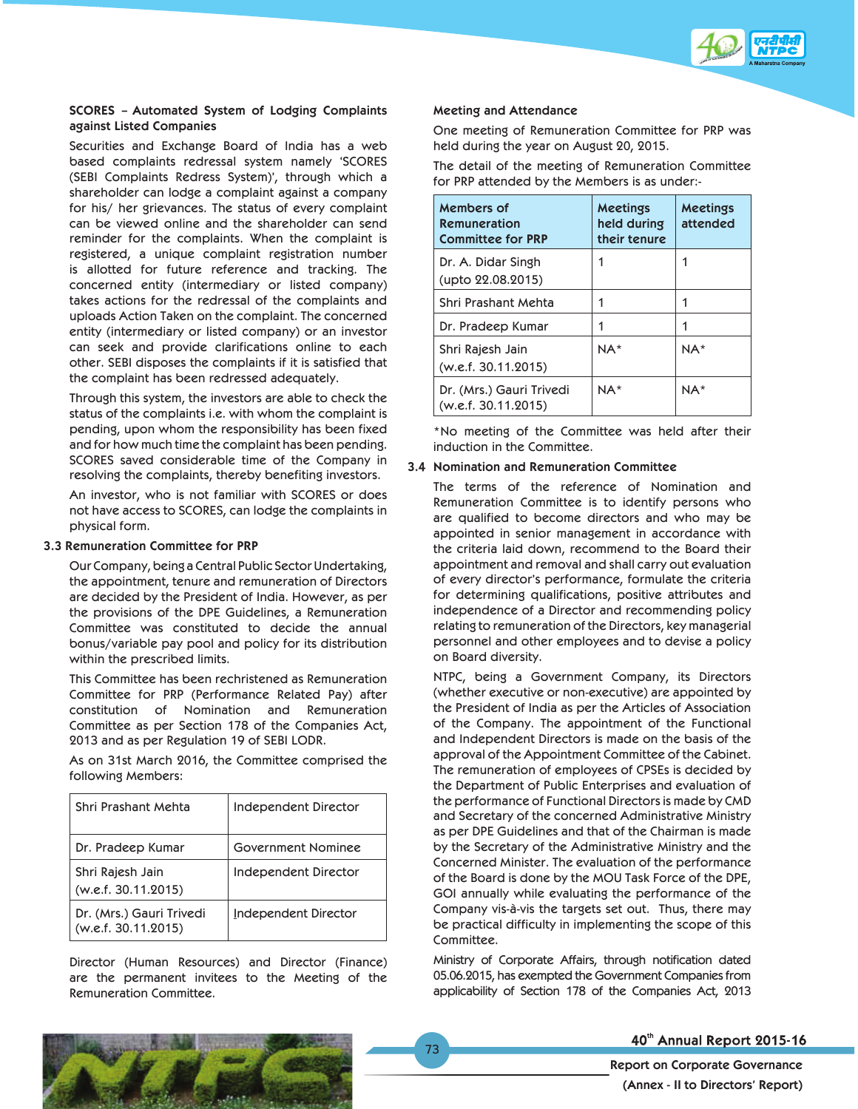

## **SCORES – Automated System of Lodging Complaints against Listed Companies**

 Securities and Exchange Board of India has a web based complaints redressal system namely 'SCORES (SEBI Complaints Redress System)', through which a shareholder can lodge a complaint against a company for his/ her grievances. The status of every complaint can be viewed online and the shareholder can send reminder for the complaints. When the complaint is registered, a unique complaint registration number is allotted for future reference and tracking. The concerned entity (intermediary or listed company) takes actions for the redressal of the complaints and uploads Action Taken on the complaint. The concerned entity (intermediary or listed company) or an investor can seek and provide clarifications online to each other. SEBI disposes the complaints if it is satisfied that the complaint has been redressed adequately.

 Through this system, the investors are able to check the status of the complaints i.e. with whom the complaint is pending, upon whom the responsibility has been fixed and for how much time the complaint has been pending. SCORES saved considerable time of the Company in resolving the complaints, thereby benefiting investors.

 An investor, who is not familiar with SCORES or does not have access to SCORES, can lodge the complaints in physical form.

#### **3.3 Remuneration Committee for PRP**

 Our Company, being a Central Public Sector Undertaking, the appointment, tenure and remuneration of Directors are decided by the President of India. However, as per the provisions of the DPE Guidelines, a Remuneration Committee was constituted to decide the annual bonus/variable pay pool and policy for its distribution within the prescribed limits.

 This Committee has been rechristened as Remuneration Committee for PRP (Performance Related Pay) after constitution of Nomination and Remuneration Committee as per Section 178 of the Companies Act, 2013 and as per Regulation 19 of SEBI LODR.

 As on 31st March 2016, the Committee comprised the following Members:

| Shri Prashant Mehta                             | Independent Director |
|-------------------------------------------------|----------------------|
| Dr. Pradeep Kumar                               | Government Nominee   |
| Shri Rajesh Jain<br>(w.e.f. 30.11.2015)         | Independent Director |
| Dr. (Mrs.) Gauri Trivedi<br>(w.e.f. 30.11.2015) | Independent Director |

 Director (Human Resources) and Director (Finance) are the permanent invitees to the Meeting of the Remuneration Committee.

#### **Meeting and Attendance**

 One meeting of Remuneration Committee for PRP was held during the year on August 20, 2015.

 The detail of the meeting of Remuneration Committee for PRP attended by the Members is as under:-

| Members of<br>Remuneration<br><b>Committee for PRP</b> | <b>Meetings</b><br>held during<br>their tenure | <b>Meetings</b><br>attended |
|--------------------------------------------------------|------------------------------------------------|-----------------------------|
| Dr. A. Didar Singh<br>(upto 22.08.2015)                | 1                                              | 1                           |
| Shri Prashant Mehta                                    |                                                |                             |
| Dr. Pradeep Kumar                                      |                                                |                             |
| Shri Rajesh Jain<br>(w.e.f. 30.11.2015)                | NA*                                            | $NA*$                       |
| Dr. (Mrs.) Gauri Trivedi<br>(w.e.f. 30.11.2015)        | NA*                                            | $NA*$                       |

 \*No meeting of the Committee was held after their induction in the Committee.

#### **3.4 Nomination and Remuneration Committee**

 The terms of the reference of Nomination and Remuneration Committee is to identify persons who are qualified to become directors and who may be appointed in senior management in accordance with the criteria laid down, recommend to the Board their appointment and removal and shall carry out evaluation of every director's performance, formulate the criteria for determining qualifications, positive attributes and independence of a Director and recommending policy relating to remuneration of the Directors, key managerial personnel and other employees and to devise a policy on Board diversity.

 NTPC, being a Government Company, its Directors (whether executive or non-executive) are appointed by the President of India as per the Articles of Association of the Company. The appointment of the Functional and Independent Directors is made on the basis of the approval of the Appointment Committee of the Cabinet. The remuneration of employees of CPSEs is decided by the Department of Public Enterprises and evaluation of the performance of Functional Directors is made by CMD and Secretary of the concerned Administrative Ministry as per DPE Guidelines and that of the Chairman is made by the Secretary of the Administrative Ministry and the Concerned Minister. The evaluation of the performance of the Board is done by the MOU Task Force of the DPE, GOI annually while evaluating the performance of the Company vis-à-vis the targets set out. Thus, there may be practical difficulty in implementing the scope of this Committee.

 Ministry of Corporate Affairs, through notification dated 05.06.2015, has exempted the Government Companies from applicability of Section 178 of the Companies Act, 2013



## 40th Annual Report 2015-16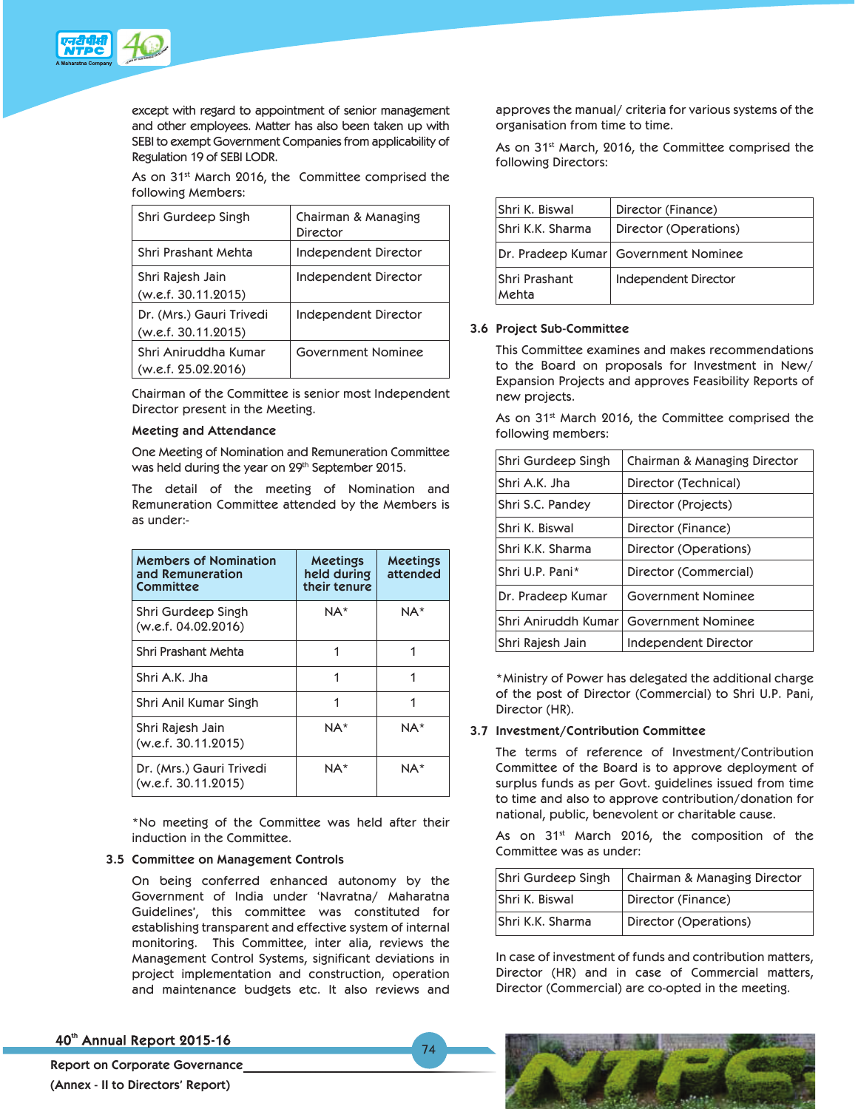

except with regard to appointment of senior management and other employees. Matter has also been taken up with SEBI to exempt Government Companies from applicability of Regulation 19 of SEBI LODR.

As on 31<sup>st</sup> March 2016, the Committee comprised the following Members:

| Shri Gurdeep Singh                              | Chairman & Managing<br>Director |
|-------------------------------------------------|---------------------------------|
| Shri Prashant Mehta                             | Independent Director            |
| Shri Rajesh Jain<br>(w.e.f. 30.11.2015)         | Independent Director            |
| Dr. (Mrs.) Gauri Trivedi<br>(w.e.f. 30.11.2015) | Independent Director            |
| Shri Aniruddha Kumar<br>(w.e.f. 25.02.2016)     | Government Nominee              |

 Chairman of the Committee is senior most Independent Director present in the Meeting.

## **Meeting and Attendance**

 One Meeting of Nomination and Remuneration Committee was held during the year on 29<sup>th</sup> September 2015.

 The detail of the meeting of Nomination and Remuneration Committee attended by the Members is as under:-

| <b>Members of Nomination</b><br>and Remuneration<br>Committee | <b>Meetings</b><br>held during<br>their tenure | <b>Meetings</b><br>attended |
|---------------------------------------------------------------|------------------------------------------------|-----------------------------|
| Shri Gurdeep Singh<br>(w.e.f. 04.02.2016)                     | $NA*$                                          | NA*                         |
| Shri Prashant Mehta                                           |                                                |                             |
| Shri A.K. Jha                                                 |                                                |                             |
| Shri Anil Kumar Singh                                         |                                                |                             |
| Shri Rajesh Jain<br>(w.e.f. 30.11.2015)                       | NA*                                            | NA*                         |
| Dr. (Mrs.) Gauri Trivedi<br>(w.e.f. 30.11.2015)               | NA*                                            | NA*                         |

 \*No meeting of the Committee was held after their induction in the Committee.

#### **3.5 Committee on Management Controls**

 On being conferred enhanced autonomy by the Government of India under 'Navratna/ Maharatna Guidelines', this committee was constituted for establishing transparent and effective system of internal monitoring. This Committee, inter alia, reviews the Management Control Systems, significant deviations in project implementation and construction, operation and maintenance budgets etc. It also reviews and

74

approves the manual/ criteria for various systems of the organisation from time to time.

As on 31<sup>st</sup> March, 2016, the Committee comprised the following Directors:

| Shri K. Biswal         | Director (Finance)                   |
|------------------------|--------------------------------------|
| Shri K.K. Sharma       | Director (Operations)                |
|                        | Dr. Pradeep Kumar Government Nominee |
| Shri Prashant<br>Mehta | Independent Director                 |

#### **3.6 Project Sub-Committee**

 This Committee examines and makes recommendations to the Board on proposals for Investment in New/ Expansion Projects and approves Feasibility Reports of new projects.

As on 31<sup>st</sup> March 2016, the Committee comprised the following members:

| Shri Gurdeep Singh  | Chairman & Managing Director |
|---------------------|------------------------------|
| lShri A.K. Jha      | Director (Technical)         |
| Shri S.C. Pandey    | Director (Projects)          |
| lShri K. Biswal     | Director (Finance)           |
| lShri K.K. Sharma   | Director (Operations)        |
| Shri U.P. Pani*     | Director (Commercial)        |
| Dr. Pradeep Kumar   | Government Nominee           |
| Shri Aniruddh Kumar | Government Nominee           |
| Shri Rajesh Jain    | Independent Director         |

 \*Ministry of Power has delegated the additional charge of the post of Director (Commercial) to Shri U.P. Pani, Director (HR).

#### **3.7 Investment/Contribution Committee**

 The terms of reference of Investment/Contribution Committee of the Board is to approve deployment of surplus funds as per Govt. guidelines issued from time to time and also to approve contribution/donation for national, public, benevolent or charitable cause.

As on 31<sup>st</sup> March 2016, the composition of the Committee was as under:

| Shri Gurdeep Singh    | Chairman & Managing Director |
|-----------------------|------------------------------|
| <b>Shri K. Biswal</b> | Director (Finance)           |
| lShri K.K. Sharma     | Director (Operations)        |

 In case of investment of funds and contribution matters, Director (HR) and in case of Commercial matters, Director (Commercial) are co-opted in the meeting.

40th Annual Report 2015-16

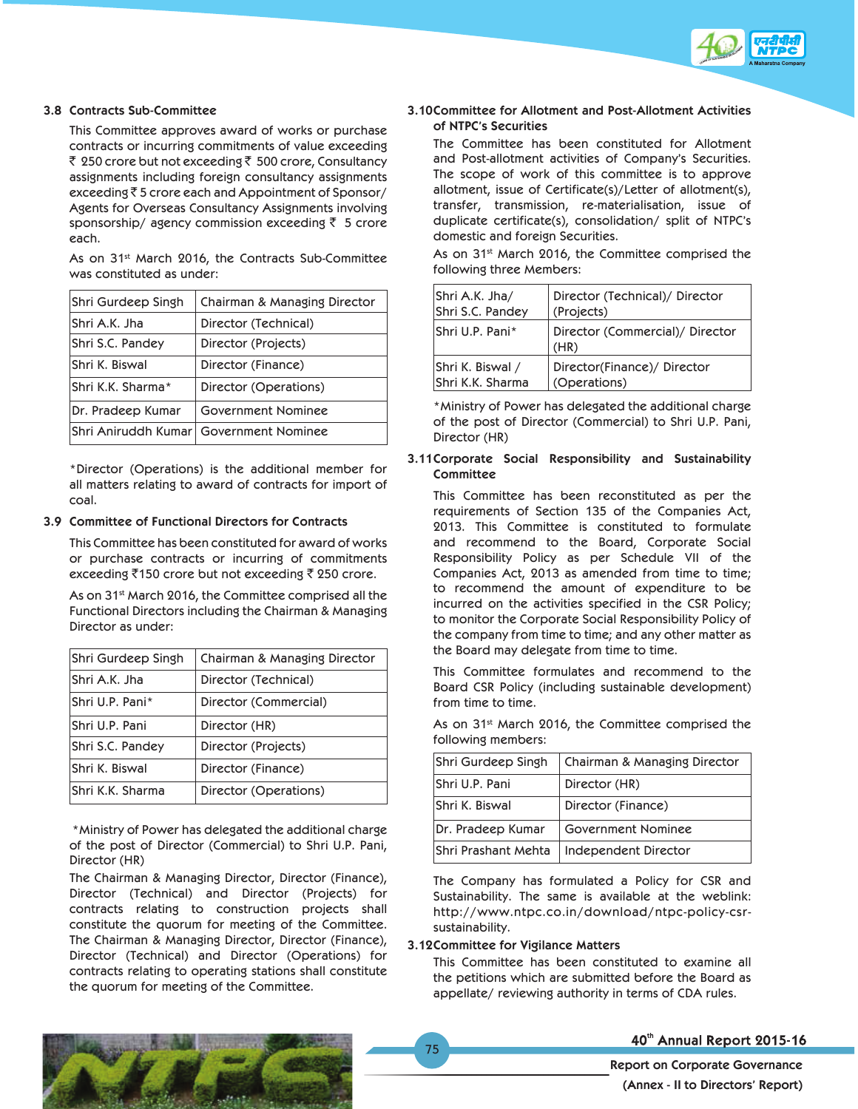

#### **3.8 Contracts Sub-Committee**

 This Committee approves award of works or purchase contracts or incurring commitments of value exceeding ₹ 250 crore but not exceeding ₹ 500 crore, Consultancy assignments including foreign consultancy assignments exceeding  $\bar{z}$  5 crore each and Appointment of Sponsor/ Agents for Overseas Consultancy Assignments involving sponsorship/ agency commission exceeding  $\bar{z}$  5 crore each.

As on 31<sup>st</sup> March 2016, the Contracts Sub-Committee was constituted as under:

| Shri Gurdeep Singh         | Chairman & Managing Director |
|----------------------------|------------------------------|
| Shri A.K. Jha              | Director (Technical)         |
| Shri S.C. Pandey           | Director (Projects)          |
| Shri K. Biswal             | Director (Finance)           |
| lShri K.K. Sharma*         | Director (Operations)        |
| Dr. Pradeep Kumar          | Government Nominee           |
| <b>Shri Aniruddh Kumar</b> | Government Nominee           |

 \*Director (Operations) is the additional member for all matters relating to award of contracts for import of coal.

#### **3.9 Committee of Functional Directors for Contracts**

 This Committee has been constituted for award of works or purchase contracts or incurring of commitments exceeding  $\overline{5}150$  crore but not exceeding  $\overline{5}250$  crore.

As on 31<sup>st</sup> March 2016, the Committee comprised all the Functional Directors including the Chairman & Managing Director as under:

| Shri Gurdeep Singh | Chairman & Managing Director |
|--------------------|------------------------------|
| Shri A.K. Jha      | Director (Technical)         |
| Shri U.P. Pani*    | Director (Commercial)        |
| Shri U.P. Pani     | Director (HR)                |
| Shri S.C. Pandey   | Director (Projects)          |
| Shri K. Biswal     | Director (Finance)           |
| Shri K.K. Sharma   | Director (Operations)        |

 \*Ministry of Power has delegated the additional charge of the post of Director (Commercial) to Shri U.P. Pani, Director (HR)

 The Chairman & Managing Director, Director (Finance), Director (Technical) and Director (Projects) for contracts relating to construction projects shall constitute the quorum for meeting of the Committee. The Chairman & Managing Director, Director (Finance), Director (Technical) and Director (Operations) for contracts relating to operating stations shall constitute the quorum for meeting of the Committee.

## **3.10 Committee for Allotment and Post-Allotment Activities of NTPC's Securities**

 The Committee has been constituted for Allotment and Post-allotment activities of Company's Securities. The scope of work of this committee is to approve allotment, issue of Certificate(s)/Letter of allotment(s), transfer, transmission, re-materialisation, issue of duplicate certificate(s), consolidation/ split of NTPC's domestic and foreign Securities.

As on 31<sup>st</sup> March 2016, the Committee comprised the following three Members:

| Shri A.K. Jha/   | Director (Technical)/ Director          |
|------------------|-----------------------------------------|
| Shri S.C. Pandey | (Projects)                              |
| lShri U.P. Pani* | Director (Commercial)/ Director<br>(HR) |
| Shri K. Biswal / | Director(Finance)/ Director             |
| Shri K.K. Sharma | (Operations)                            |

 \*Ministry of Power has delegated the additional charge of the post of Director (Commercial) to Shri U.P. Pani, Director (HR)

### **3.11 Corporate Social Responsibility and Sustainability Committee**

 This Committee has been reconstituted as per the requirements of Section 135 of the Companies Act, 2013. This Committee is constituted to formulate and recommend to the Board, Corporate Social Responsibility Policy as per Schedule VII of the Companies Act, 2013 as amended from time to time; to recommend the amount of expenditure to be incurred on the activities specified in the CSR Policy; to monitor the Corporate Social Responsibility Policy of the company from time to time; and any other matter as the Board may delegate from time to time.

 This Committee formulates and recommend to the Board CSR Policy (including sustainable development) from time to time.

As on 31<sup>st</sup> March 2016, the Committee comprised the following members:

| Shri Gurdeep Singh  | Chairman & Managing Director |
|---------------------|------------------------------|
| Shri U.P. Pani      | Director (HR)                |
| Shri K. Biswal      | Director (Finance)           |
| Dr. Pradeep Kumar   | Government Nominee           |
| Shri Prashant Mehta | Independent Director         |

 The Company has formulated a Policy for CSR and Sustainability. The same is available at the weblink: http://www.ntpc.co.in/download/ntpc-policy-csrsustainability.

### **3.12 Committee for Vigilance Matters**

 This Committee has been constituted to examine all the petitions which are submitted before the Board as appellate/ reviewing authority in terms of CDA rules.



## 40th Annual Report 2015-16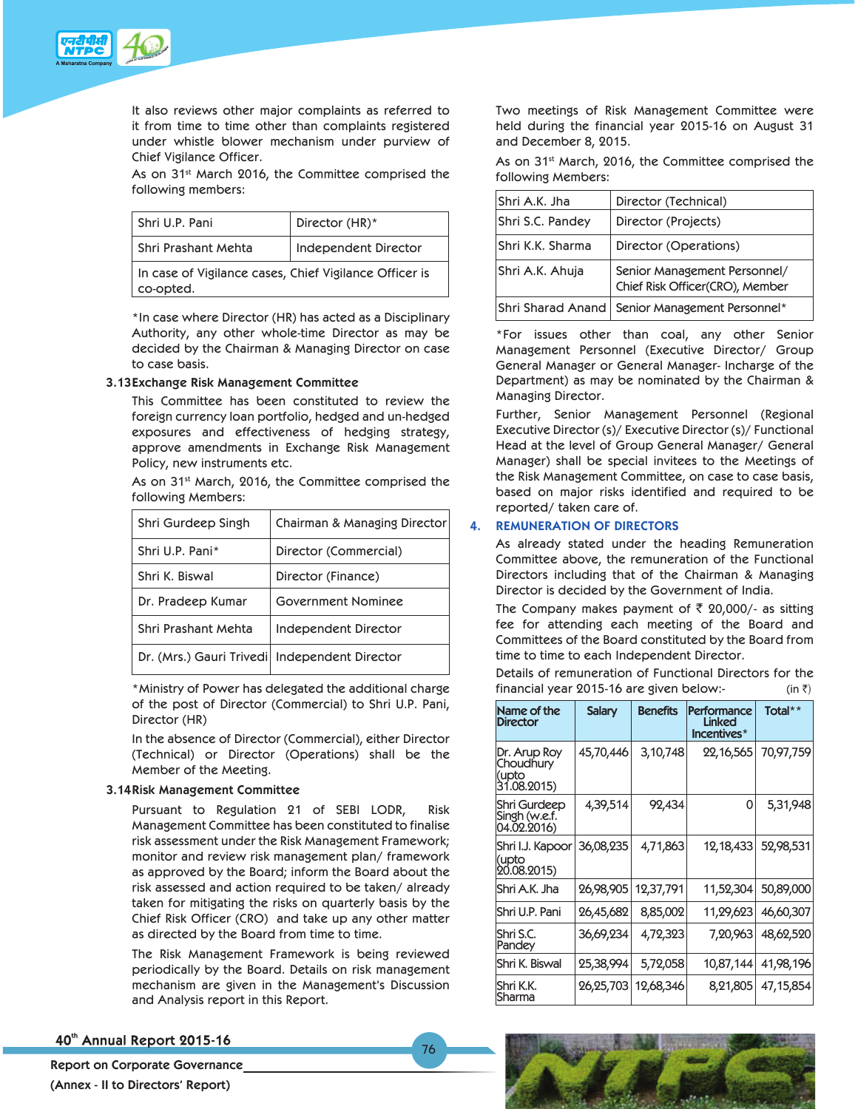

It also reviews other major complaints as referred to it from time to time other than complaints registered under whistle blower mechanism under purview of Chief Vigilance Officer.

As on 31<sup>st</sup> March 2016, the Committee comprised the following members:

| Shri U.P. Pani                                                      | Director (HR)*       |
|---------------------------------------------------------------------|----------------------|
| Shri Prashant Mehta                                                 | Independent Director |
| In case of Vigilance cases, Chief Vigilance Officer is<br>co-opted. |                      |

\*In case where Director (HR) has acted as a Disciplinary Authority, any other whole-time Director as may be decided by the Chairman & Managing Director on case to case basis.

#### **3.13 Exchange Risk Management Committee**

This Committee has been constituted to review the foreign currency loan portfolio, hedged and un-hedged exposures and effectiveness of hedging strategy, approve amendments in Exchange Risk Management Policy, new instruments etc.

As on 31<sup>st</sup> March, 2016, the Committee comprised the following Members:

| Shri Gurdeep Singh                            | Chairman & Managing Director |
|-----------------------------------------------|------------------------------|
| Shri U.P. Pani*                               | Director (Commercial)        |
| Shri K. Biswal                                | Director (Finance)           |
| Dr. Pradeep Kumar                             | Government Nominee           |
| Shri Prashant Mehta                           | Independent Director         |
| Dr. (Mrs.) Gauri Trivedi Independent Director |                              |

 \*Ministry of Power has delegated the additional charge of the post of Director (Commercial) to Shri U.P. Pani, Director (HR)

 In the absence of Director (Commercial), either Director (Technical) or Director (Operations) shall be the Member of the Meeting.

#### **3.14 Risk Management Committee**

 Pursuant to Regulation 21 of SEBI LODR, Risk Management Committee has been constituted to finalise risk assessment under the Risk Management Framework; monitor and review risk management plan/ framework as approved by the Board; inform the Board about the risk assessed and action required to be taken/ already taken for mitigating the risks on quarterly basis by the Chief Risk Officer (CRO) and take up any other matter as directed by the Board from time to time.

 The Risk Management Framework is being reviewed periodically by the Board. Details on risk management mechanism are given in the Management's Discussion and Analysis report in this Report.

 Two meetings of Risk Management Committee were held during the financial year 2015-16 on August 31 and December 8, 2015.

As on 31<sup>st</sup> March, 2016, the Committee comprised the following Members:

| İShri A.K. Jha   | Director (Technical)                                            |
|------------------|-----------------------------------------------------------------|
| Shri S.C. Pandey | Director (Projects)                                             |
| Shri K.K. Sharma | Director (Operations)                                           |
| Shri A.K. Ahuja  | Senior Management Personnel/<br>Chief Risk Officer(CRO), Member |
|                  | Shri Sharad Anand   Senior Management Personnel*                |

 \*For issues other than coal, any other Senior Management Personnel (Executive Director/ Group General Manager or General Manager- Incharge of the Department) as may be nominated by the Chairman & Managing Director.

 Further, Senior Management Personnel (Regional Executive Director (s)/ Executive Director (s)/ Functional Head at the level of Group General Manager/ General Manager) shall be special invitees to the Meetings of the Risk Management Committee, on case to case basis, based on major risks identified and required to be reported/ taken care of.

## **4. REMUNERATION OF DIRECTORS**

 As already stated under the heading Remuneration Committee above, the remuneration of the Functional Directors including that of the Chairman & Managing Director is decided by the Government of India.

The Company makes payment of  $\bar{\tau}$  20,000/- as sitting fee for attending each meeting of the Board and Committees of the Board constituted by the Board from time to time to each Independent Director.

 Details of remuneration of Functional Directors for the financial year 2015-16 are given below:- (in  $\bar{z}$ )

| Name of the<br><b>Director</b>                    | <b>Salary</b> | <b>Benefits</b> | Performance<br><b>Linked</b><br>Incentives* | Total**   |
|---------------------------------------------------|---------------|-----------------|---------------------------------------------|-----------|
| Dr. Arup Roy<br>Choudhury<br>(upto<br>31.08.2015) | 45,70,446     | 3,10,748        | 22,16,565                                   | 70,97,759 |
| Shri Gurdeep<br>Singh (w.e.f.<br>04.02.2016)      | 4,39,514      | 92,434          | 0                                           | 5,31,948  |
| Shri I.J. Kapoor<br>(upto<br>20.08.2015)          | 36,08,235     | 4,71,863        | 12,18,433                                   | 52,98,531 |
| Shri A.K. Jha                                     | 26,98,905     | 12,37,791       | 11,52,304                                   | 50,89,000 |
| Shri U.P. Pani                                    | 26,45,682     | 8,85,002        | 11,29,623                                   | 46,60,307 |
| lShri S.C.<br>Pandey                              | 36,69,234     | 4,72,323        | 7,20,963                                    | 48,62,520 |
| Shri K. Biswal                                    | 25,38,994     | 5,72,058        | 10,87,144                                   | 41,98,196 |
| lShri K.K.<br>Sharma                              | 26,25,703     | 12,68,346       | 8,21,805                                    | 47,15,854 |

## 40th Annual Report 2015-16

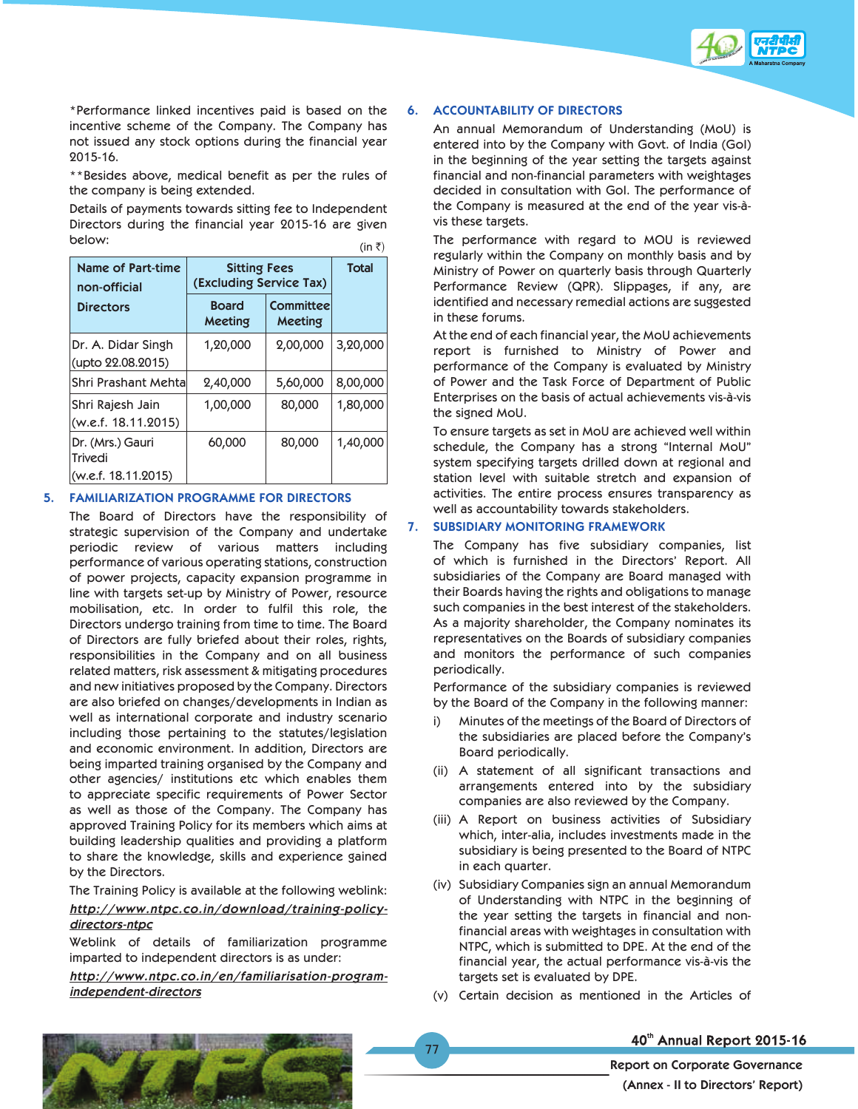

 \*Performance linked incentives paid is based on the incentive scheme of the Company. The Company has not issued any stock options during the financial year 2015-16.

 \*\*Besides above, medical benefit as per the rules of the company is being extended.

 Details of payments towards sitting fee to Independent Directors during the financial year 2015-16 are given below:  $(\text{in } \bar{z})$ 

|                                                    |                                                |                             | III <sub>1</sub> |
|----------------------------------------------------|------------------------------------------------|-----------------------------|------------------|
| Name of Part-time<br>non-official                  | <b>Sitting Fees</b><br>(Excluding Service Tax) |                             | <b>Total</b>     |
| <b>Directors</b>                                   | <b>Board</b><br>Meeting                        | <b>Committee</b><br>Meeting |                  |
| Dr. A. Didar Singh<br>(upto 22.08.2015)            | 1,20,000                                       | 2,00,000                    | 3,20,000         |
| Shri Prashant Mehtal                               | 2,40,000                                       | 5,60,000                    | 8,00,000         |
| Shri Rajesh Jain<br>(w.e.f. 18.11.2015)            | 1,00,000                                       | 80,000                      | 1,80,000         |
| Dr. (Mrs.) Gauri<br>Trivedi<br>(w.e.f. 18.11.2015) | 60,000                                         | 80,000                      | 1,40,000         |

## **5. FAMILIARIZATION PROGRAMME FOR DIRECTORS**

 The Board of Directors have the responsibility of strategic supervision of the Company and undertake periodic review of various matters including performance of various operating stations, construction of power projects, capacity expansion programme in line with targets set-up by Ministry of Power, resource mobilisation, etc. In order to fulfil this role, the Directors undergo training from time to time. The Board of Directors are fully briefed about their roles, rights, responsibilities in the Company and on all business related matters, risk assessment & mitigating procedures and new initiatives proposed by the Company. Directors are also briefed on changes/developments in Indian as well as international corporate and industry scenario including those pertaining to the statutes/legislation and economic environment. In addition, Directors are being imparted training organised by the Company and other agencies/ institutions etc which enables them to appreciate specific requirements of Power Sector as well as those of the Company. The Company has approved Training Policy for its members which aims at building leadership qualities and providing a platform to share the knowledge, skills and experience gained by the Directors.

The Training Policy is available at the following weblink:

## *http://www.ntpc.co.in/download/training-policydirectors-ntpc*

 Weblink of details of familiarization programme imparted to independent directors is as under:

*http://www.ntpc.co.in/en/familiarisation-programindependent-directors*

## **6. ACCOUNTABILITY OF DIRECTORS**

 An annual Memorandum of Understanding (MoU) is entered into by the Company with Govt. of India (GoI) in the beginning of the year setting the targets against financial and non-financial parameters with weightages decided in consultation with GoI. The performance of the Company is measured at the end of the year vis-àvis these targets.

 The performance with regard to MOU is reviewed regularly within the Company on monthly basis and by Ministry of Power on quarterly basis through Quarterly Performance Review (QPR). Slippages, if any, are identified and necessary remedial actions are suggested in these forums.

 At the end of each financial year, the MoU achievements report is furnished to Ministry of Power and performance of the Company is evaluated by Ministry of Power and the Task Force of Department of Public Enterprises on the basis of actual achievements vis-à-vis the signed MoU.

 To ensure targets as set in MoU are achieved well within schedule, the Company has a strong "Internal MoU" system specifying targets drilled down at regional and station level with suitable stretch and expansion of activities. The entire process ensures transparency as well as accountability towards stakeholders.

#### **7. SUBSIDIARY MONITORING FRAMEWORK**

 The Company has five subsidiary companies, list of which is furnished in the Directors' Report. All subsidiaries of the Company are Board managed with their Boards having the rights and obligations to manage such companies in the best interest of the stakeholders. As a majority shareholder, the Company nominates its representatives on the Boards of subsidiary companies and monitors the performance of such companies periodically.

 Performance of the subsidiary companies is reviewed by the Board of the Company in the following manner:

- i) Minutes of the meetings of the Board of Directors of the subsidiaries are placed before the Company's Board periodically.
- (ii) A statement of all significant transactions and arrangements entered into by the subsidiary companies are also reviewed by the Company.
- (iii) A Report on business activities of Subsidiary which, inter-alia, includes investments made in the subsidiary is being presented to the Board of NTPC in each quarter.
- (iv) Subsidiary Companies sign an annual Memorandum of Understanding with NTPC in the beginning of the year setting the targets in financial and nonfinancial areas with weightages in consultation with NTPC, which is submitted to DPE. At the end of the financial year, the actual performance vis-à-vis the targets set is evaluated by DPE.
- (v) Certain decision as mentioned in the Articles of

77



40th Annual Report 2015-16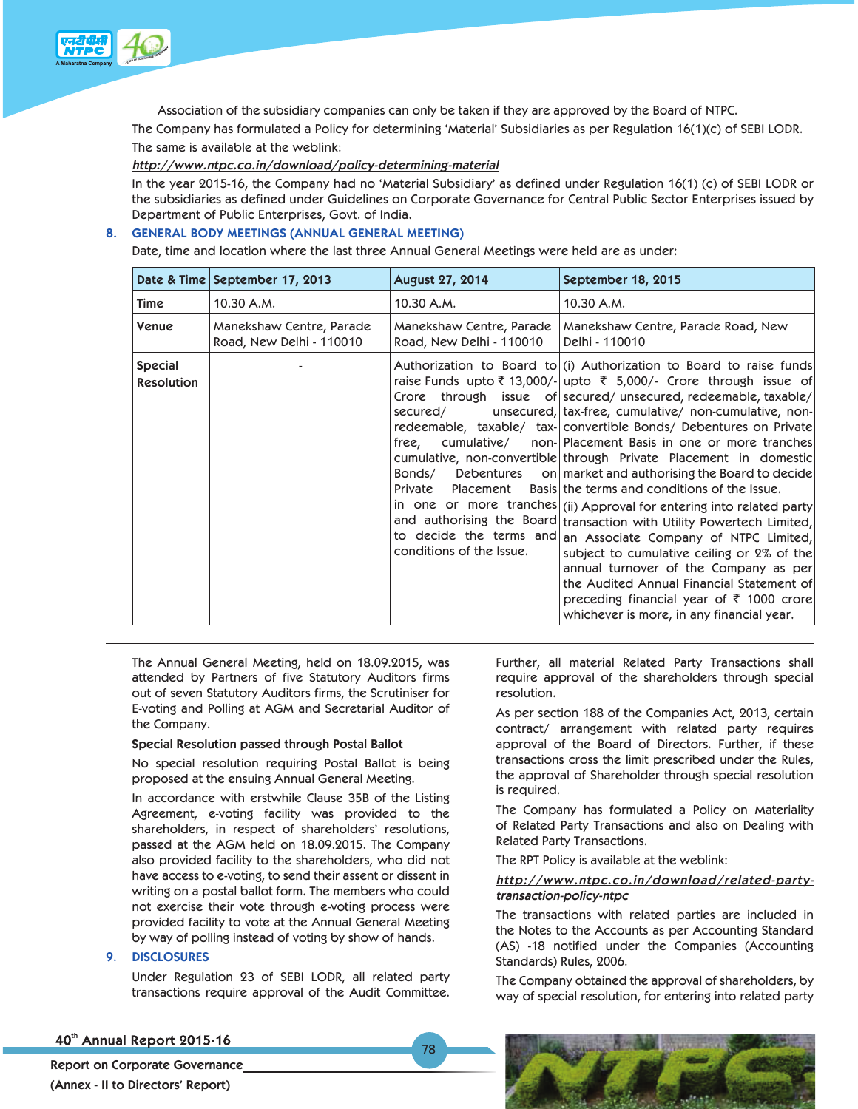

Association of the subsidiary companies can only be taken if they are approved by the Board of NTPC.

The Company has formulated a Policy for determining 'Material' Subsidiaries as per Regulation 16(1)(c) of SEBI LODR. The same is available at the weblink:

### *http://www.ntpc.co.in/download/policy-determining-material*

In the year 2015-16, the Company had no 'Material Subsidiary' as defined under Regulation 16(1) (c) of SEBI LODR or the subsidiaries as defined under Guidelines on Corporate Governance for Central Public Sector Enterprises issued by Department of Public Enterprises, Govt. of India.

## **8. GENERAL BODY MEETINGS (ANNUAL GENERAL MEETING)**

Date, time and location where the last three Annual General Meetings were held are as under:

|                                     | Date & Time September 17, 2013                       | <b>August 27, 2014</b>                                                                                       | September 18, 2015                                                                                                                                                                                                                                                                                                                                                                                                                                                                                                                                                                                                                                                                                                                                                                                                                                                                                                                                                                                                         |
|-------------------------------------|------------------------------------------------------|--------------------------------------------------------------------------------------------------------------|----------------------------------------------------------------------------------------------------------------------------------------------------------------------------------------------------------------------------------------------------------------------------------------------------------------------------------------------------------------------------------------------------------------------------------------------------------------------------------------------------------------------------------------------------------------------------------------------------------------------------------------------------------------------------------------------------------------------------------------------------------------------------------------------------------------------------------------------------------------------------------------------------------------------------------------------------------------------------------------------------------------------------|
| Time                                | 10.30 A.M.                                           | 10.30 A.M.                                                                                                   | 10.30 A.M.                                                                                                                                                                                                                                                                                                                                                                                                                                                                                                                                                                                                                                                                                                                                                                                                                                                                                                                                                                                                                 |
| Venue                               | Manekshaw Centre, Parade<br>Road, New Delhi - 110010 | Manekshaw Centre, Parade<br>Road, New Delhi - 110010                                                         | Manekshaw Centre, Parade Road, New<br>Delhi - 110010                                                                                                                                                                                                                                                                                                                                                                                                                                                                                                                                                                                                                                                                                                                                                                                                                                                                                                                                                                       |
| <b>Special</b><br><b>Resolution</b> |                                                      | secured/<br>cumulative/<br>free,<br>Bonds/<br>Debentures<br>Private<br>Placement<br>conditions of the Issue. | Authorization to Board to (i) Authorization to Board to raise funds<br>raise Funds upto ₹ 13,000/- upto ₹ 5,000/- Crore through issue of<br>Crore through issue of secured/unsecured, redeemable, taxable/<br>unsecured, tax-free, cumulative/ non-cumulative, non-<br>redeemable, taxable/ tax- convertible Bonds/ Debentures on Private<br>non- Placement Basis in one or more tranches<br>cumulative, non-convertible through Private Placement in domestic<br>on market and authorising the Board to decide<br>Basis the terms and conditions of the Issue.<br>in one or more tranches (ii) Approval for entering into related party<br>and authorising the Board transaction with Utility Powertech Limited,<br>to decide the terms and an Associate Company of NTPC Limited,<br>subject to cumulative ceiling or 2% of the<br>annual turnover of the Company as per<br>the Audited Annual Financial Statement of<br>preceding financial year of $\bar{\tau}$ 1000 crore<br>whichever is more, in any financial year. |

The Annual General Meeting, held on 18.09.2015, was attended by Partners of five Statutory Auditors firms out of seven Statutory Auditors firms, the Scrutiniser for E-voting and Polling at AGM and Secretarial Auditor of the Company.

#### **Special Resolution passed through Postal Ballot**

No special resolution requiring Postal Ballot is being proposed at the ensuing Annual General Meeting.

In accordance with erstwhile Clause 35B of the Listing Agreement, e-voting facility was provided to the shareholders, in respect of shareholders' resolutions, passed at the AGM held on 18.09.2015. The Company also provided facility to the shareholders, who did not have access to e-voting, to send their assent or dissent in writing on a postal ballot form. The members who could not exercise their vote through e-voting process were provided facility to vote at the Annual General Meeting by way of polling instead of voting by show of hands.

#### **9. DISCLOSURES**

Under Regulation 23 of SEBI LODR, all related party transactions require approval of the Audit Committee.

Further, all material Related Party Transactions shall require approval of the shareholders through special resolution.

 As per section 188 of the Companies Act, 2013, certain contract/ arrangement with related party requires approval of the Board of Directors. Further, if these transactions cross the limit prescribed under the Rules, the approval of Shareholder through special resolution is required.

 The Company has formulated a Policy on Materiality of Related Party Transactions and also on Dealing with Related Party Transactions.

The RPT Policy is available at the weblink:

## *http://www.ntpc.co.in/download/related-partytransaction-policy-ntpc*

 The transactions with related parties are included in the Notes to the Accounts as per Accounting Standard (AS) -18 notified under the Companies (Accounting Standards) Rules, 2006.

 The Company obtained the approval of shareholders, by way of special resolution, for entering into related party

## 40th Annual Report 2015-16



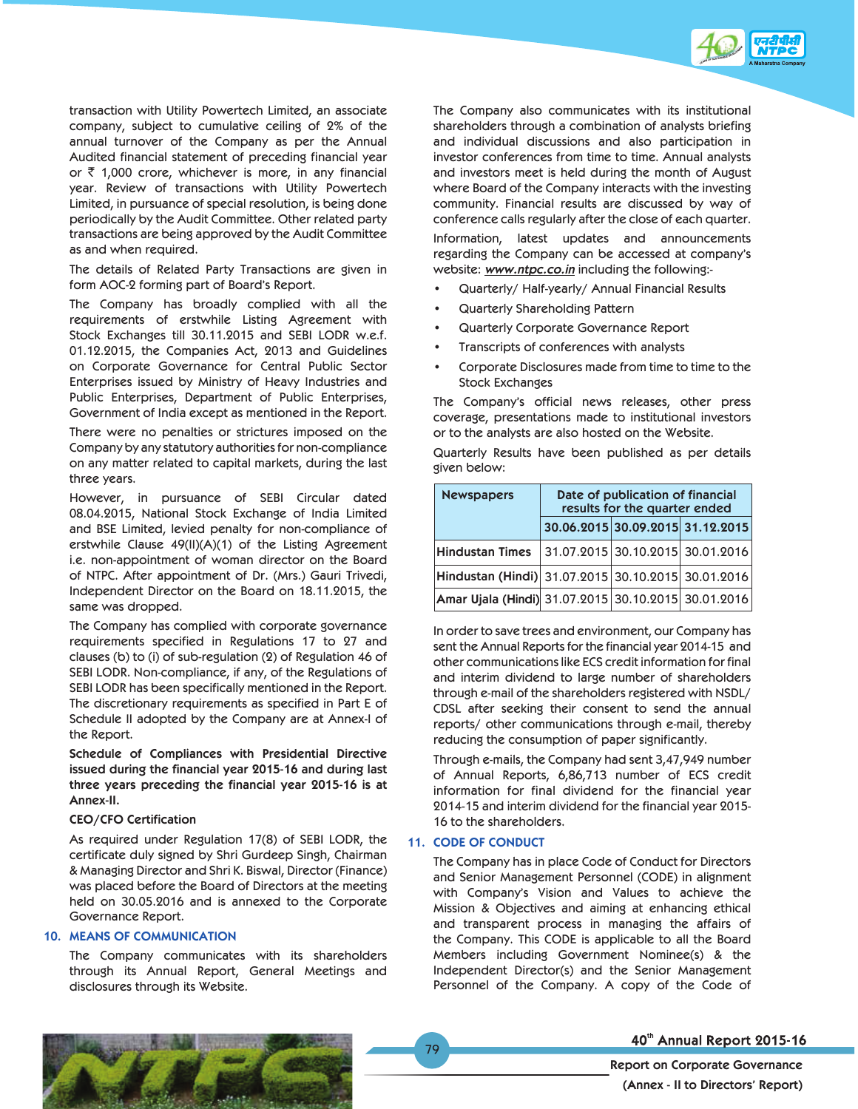

transaction with Utility Powertech Limited, an associate company, subject to cumulative ceiling of 2% of the annual turnover of the Company as per the Annual Audited financial statement of preceding financial year or  $\bar{\tau}$  1,000 crore, whichever is more, in any financial year. Review of transactions with Utility Powertech Limited, in pursuance of special resolution, is being done periodically by the Audit Committee. Other related party transactions are being approved by the Audit Committee as and when required.

 The details of Related Party Transactions are given in form AOC-2 forming part of Board's Report.

 The Company has broadly complied with all the requirements of erstwhile Listing Agreement with Stock Exchanges till 30.11.2015 and SEBI LODR w.e.f. 01.12.2015, the Companies Act, 2013 and Guidelines on Corporate Governance for Central Public Sector Enterprises issued by Ministry of Heavy Industries and Public Enterprises, Department of Public Enterprises, Government of India except as mentioned in the Report.

 There were no penalties or strictures imposed on the Company by any statutory authorities for non-compliance on any matter related to capital markets, during the last three years.

 However, in pursuance of SEBI Circular dated 08.04.2015, National Stock Exchange of India Limited and BSE Limited, levied penalty for non-compliance of erstwhile Clause 49(II)(A)(1) of the Listing Agreement i.e. non-appointment of woman director on the Board of NTPC. After appointment of Dr. (Mrs.) Gauri Trivedi, Independent Director on the Board on 18.11.2015, the same was dropped.

 The Company has complied with corporate governance requirements specified in Regulations 17 to 27 and clauses (b) to (i) of sub-regulation (2) of Regulation 46 of SEBI LODR. Non-compliance, if any, of the Regulations of SEBI LODR has been specifically mentioned in the Report. The discretionary requirements as specified in Part E of Schedule II adopted by the Company are at Annex-I of the Report.

**Schedule of Compliances with Presidential Directive issued during the financial year 2015-16 and during last three years preceding the financial year 2015-16 is at Annex-II.**

#### **CEO/CFO Certification**

 As required under Regulation 17(8) of SEBI LODR, the certificate duly signed by Shri Gurdeep Singh, Chairman & Managing Director and Shri K. Biswal, Director (Finance) was placed before the Board of Directors at the meeting held on 30.05.2016 and is annexed to the Corporate Governance Report.

#### **10. MEANS OF COMMUNICATION**

 The Company communicates with its shareholders through its Annual Report, General Meetings and disclosures through its Website.

 The Company also communicates with its institutional shareholders through a combination of analysts briefing and individual discussions and also participation in investor conferences from time to time. Annual analysts and investors meet is held during the month of August where Board of the Company interacts with the investing community. Financial results are discussed by way of conference calls regularly after the close of each quarter. Information, latest updates and announcements regarding the Company can be accessed at company's website: *www.ntpc.co.in* including the following:-

- Quarterly/ Half-yearly/ Annual Financial Results
- Quarterly Shareholding Pattern
- Quarterly Corporate Governance Report
- Transcripts of conferences with analysts
- Corporate Disclosures made from time to time to the Stock Exchanges

 The Company's official news releases, other press coverage, presentations made to institutional investors or to the analysts are also hosted on the Website.

 Quarterly Results have been published as per details given below:

| <b>Newspapers</b>                                        | Date of publication of financial<br>results for the quarter ended |  |                                  |  |  |  |  |  |
|----------------------------------------------------------|-------------------------------------------------------------------|--|----------------------------------|--|--|--|--|--|
|                                                          |                                                                   |  | 30.06.2015 30.09.2015 31.12.2015 |  |  |  |  |  |
| <b>Hindustan Times</b>                                   |                                                                   |  | 31.07.2015 30.10.2015 30.01.2016 |  |  |  |  |  |
| Hindustan (Hindi) 31.07.2015 30.10.2015 30.01.2016       |                                                                   |  |                                  |  |  |  |  |  |
| Amar Ujala (Hindi)  31.07.2015   30.10.2015   30.01.2016 |                                                                   |  |                                  |  |  |  |  |  |

 In order to save trees and environment, our Company has sent the Annual Reports for the financial year 2014-15 and other communications like ECS credit information for final and interim dividend to large number of shareholders through e-mail of the shareholders registered with NSDL/ CDSL after seeking their consent to send the annual reports/ other communications through e-mail, thereby reducing the consumption of paper significantly.

 Through e-mails, the Company had sent 3,47,949 number of Annual Reports, 6,86,713 number of ECS credit information for final dividend for the financial year 2014-15 and interim dividend for the financial year 2015- 16 to the shareholders.

#### **11. CODE OF CONDUCT**

 The Company has in place Code of Conduct for Directors and Senior Management Personnel (CODE) in alignment with Company's Vision and Values to achieve the Mission & Objectives and aiming at enhancing ethical and transparent process in managing the affairs of the Company. This CODE is applicable to all the Board Members including Government Nominee(s) & the Independent Director(s) and the Senior Management Personnel of the Company. A copy of the Code of



## 40th Annual Report 2015-16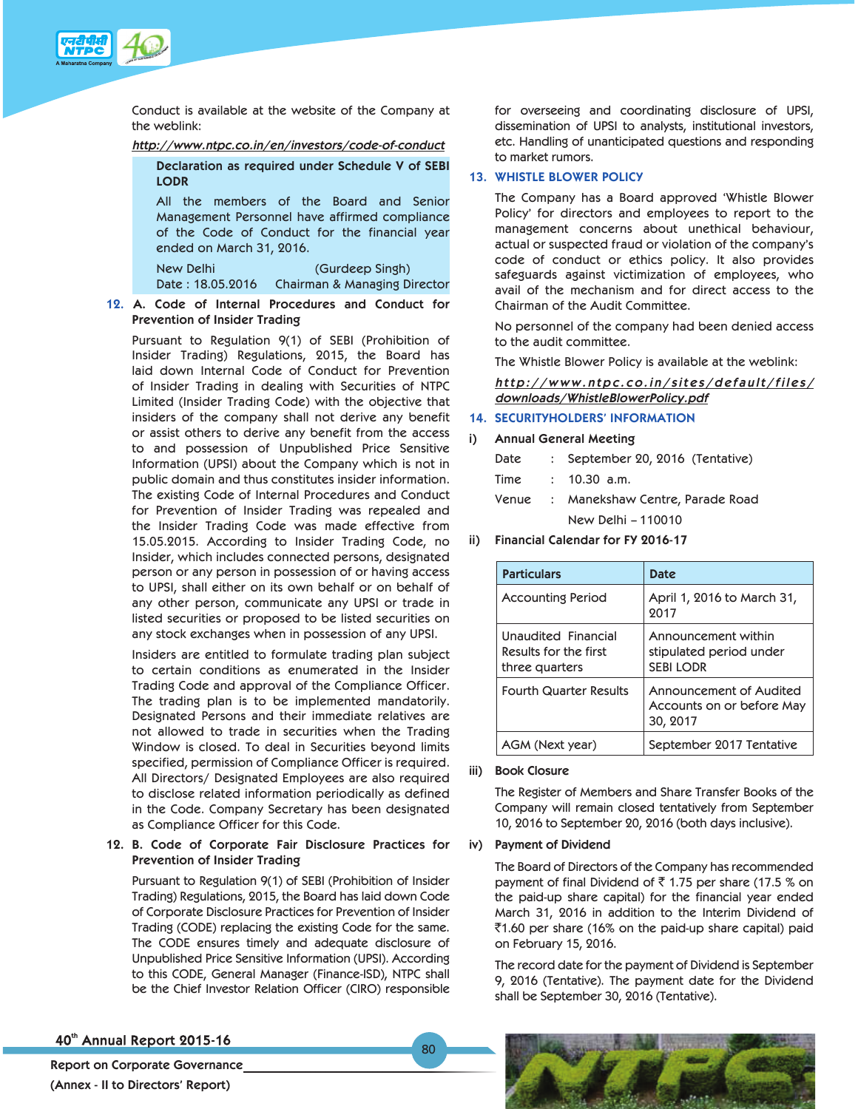

Conduct is available at the website of the Company at the weblink:

#### *http://www.ntpc.co.in/en/investors/code-of-conduct*

**Declaration as required under Schedule V of SEBI LODR** 

All the members of the Board and Senior Management Personnel have affirmed compliance of the Code of Conduct for the financial year ended on March 31, 2016.

New Delhi (Gurdeep Singh) Date : 18.05.2016 Chairman & Managing Director

## **12. A. Code of Internal Procedures and Conduct for Prevention of Insider Trading**

Pursuant to Regulation 9(1) of SEBI (Prohibition of Insider Trading) Regulations, 2015, the Board has laid down Internal Code of Conduct for Prevention of Insider Trading in dealing with Securities of NTPC Limited (Insider Trading Code) with the objective that insiders of the company shall not derive any benefit or assist others to derive any benefit from the access to and possession of Unpublished Price Sensitive Information (UPSI) about the Company which is not in public domain and thus constitutes insider information. The existing Code of Internal Procedures and Conduct for Prevention of Insider Trading was repealed and the Insider Trading Code was made effective from 15.05.2015. According to Insider Trading Code, no Insider, which includes connected persons, designated person or any person in possession of or having access to UPSI, shall either on its own behalf or on behalf of any other person, communicate any UPSI or trade in listed securities or proposed to be listed securities on any stock exchanges when in possession of any UPSI.

Insiders are entitled to formulate trading plan subject to certain conditions as enumerated in the Insider Trading Code and approval of the Compliance Officer. The trading plan is to be implemented mandatorily. Designated Persons and their immediate relatives are not allowed to trade in securities when the Trading Window is closed. To deal in Securities beyond limits specified, permission of Compliance Officer is required. All Directors/ Designated Employees are also required to disclose related information periodically as defined in the Code. Company Secretary has been designated as Compliance Officer for this Code.

## **12. B. Code of Corporate Fair Disclosure Practices for Prevention of Insider Trading**

Pursuant to Regulation 9(1) of SEBI (Prohibition of Insider Trading) Regulations, 2015, the Board has laid down Code of Corporate Disclosure Practices for Prevention of Insider Trading (CODE) replacing the existing Code for the same. The CODE ensures timely and adequate disclosure of Unpublished Price Sensitive Information (UPSI). According to this CODE, General Manager (Finance-ISD), NTPC shall be the Chief Investor Relation Officer (CIRO) responsible

for overseeing and coordinating disclosure of UPSI, dissemination of UPSI to analysts, institutional investors, etc. Handling of unanticipated questions and responding to market rumors.

## **13. WHISTLE BLOWER POLICY**

 The Company has a Board approved 'Whistle Blower Policy' for directors and employees to report to the management concerns about unethical behaviour, actual or suspected fraud or violation of the company's code of conduct or ethics policy. It also provides safeguards against victimization of employees, who avail of the mechanism and for direct access to the Chairman of the Audit Committee.

 No personnel of the company had been denied access to the audit committee.

The Whistle Blower Policy is available at the weblink:

*http://www.ntpc.co.in/sites/default/files/ downloads/WhistleBlowerPolicy.pdf*

## **14. SECURITYHOLDERS' INFORMATION**

- **i) Annual General Meeting**
	- Date : September 20, 2016 (Tentative)
	- Time : 10.30 a.m.
	- Venue : Manekshaw Centre, Parade Road New Delhi – 110010
- **ii) Financial Calendar for FY 2016-17**

| <b>Particulars</b>                                             | Date                                                              |
|----------------------------------------------------------------|-------------------------------------------------------------------|
| <b>Accounting Period</b>                                       | April 1, 2016 to March 31,<br>2017                                |
| Unaudited Financial<br>Results for the first<br>three quarters | Announcement within<br>stipulated period under<br><b>SEBILODR</b> |
| <b>Fourth Quarter Results</b>                                  | Announcement of Audited<br>Accounts on or before May<br>30, 2017  |
| AGM (Next year)                                                | September 2017 Tentative                                          |

## **iii) Book Closure**

 The Register of Members and Share Transfer Books of the Company will remain closed tentatively from September 10, 2016 to September 20, 2016 (both days inclusive).

#### **iv) Payment of Dividend**

 The Board of Directors of the Company has recommended payment of final Dividend of  $\bar{\tau}$  1.75 per share (17.5 % on the paid-up share capital) for the financial year ended March 31, 2016 in addition to the Interim Dividend of  $\overline{5}1.60$  per share (16% on the paid-up share capital) paid on February 15, 2016.

 The record date for the payment of Dividend is September 9, 2016 (Tentative). The payment date for the Dividend shall be September 30, 2016 (Tentative).

40th Annual Report 2015-16



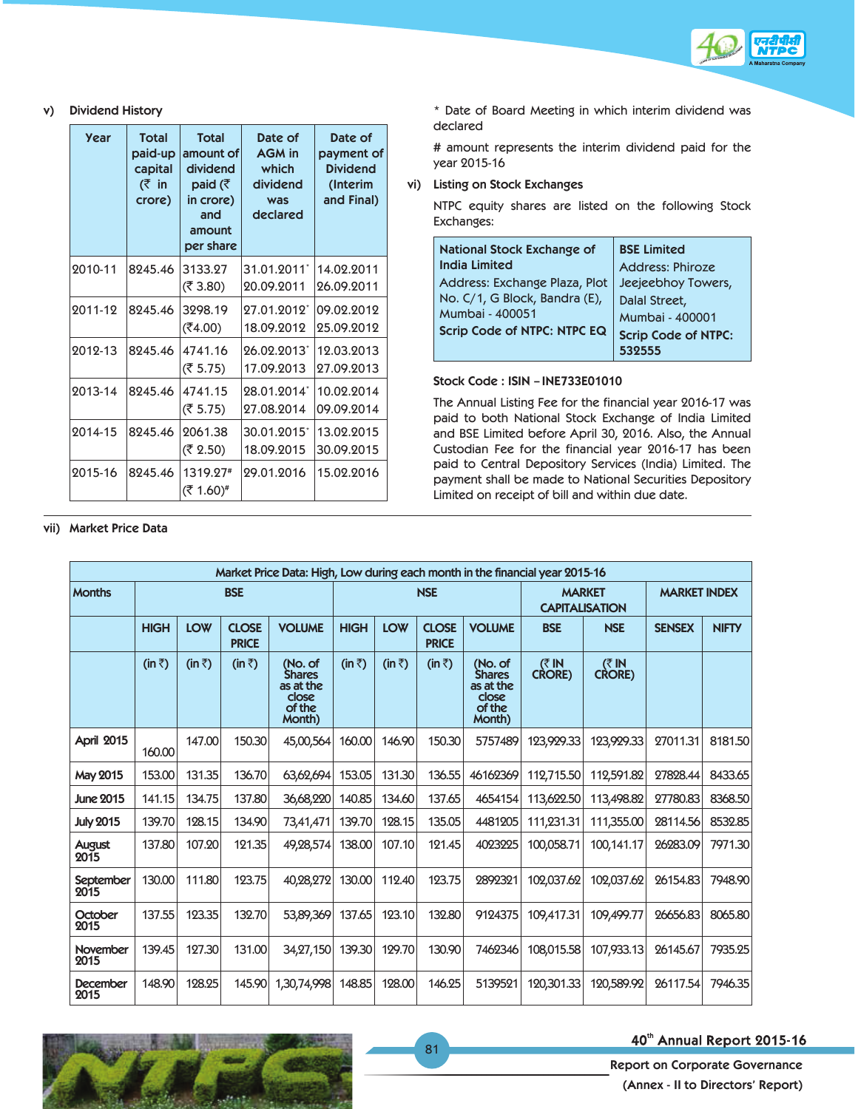

### **v) Dividend History**

| Year    | <b>Total</b><br>paid-up<br>capital<br>(₹ in<br>crore) | <b>Total</b><br>amount of<br>dividend<br>paid ( $\bar{\tau}$<br>in crore)<br>and<br>amount<br>per share | Date of<br><b>AGM</b> in<br>which<br>dividend<br>was<br>declared | Date of<br>payment of<br><b>Dividend</b><br>(Interim<br>and Final) |
|---------|-------------------------------------------------------|---------------------------------------------------------------------------------------------------------|------------------------------------------------------------------|--------------------------------------------------------------------|
| 2010-11 | 8245.46                                               | 3133.27<br>(₹ 3.80)                                                                                     | 31.01.2011*<br>20.09.2011                                        | 14.02.2011<br>26.09.2011                                           |
| 2011-12 | 8245.46                                               | 3298.19<br>(₹4.00)                                                                                      | 27.01.2012*<br>18.09.2012                                        | 09.02.2012<br>25.09.2012                                           |
| 2012-13 | 8245.46                                               | 4741.16<br>(₹ 5.75)                                                                                     | 26.02.2013<br>17.09.2013                                         | 12.03.2013<br>27.09.2013                                           |
| 2013-14 | 8245.46                                               | 4741.15<br>(₹ 5.75)                                                                                     | 28.01.2014*<br>27.08.2014                                        | 10.02.2014<br>09.09.2014                                           |
| 2014-15 | 8245.46                                               | 2061.38<br>(₹ 2.50)                                                                                     | 30.01.2015*<br>18.09.2015                                        | 13.02.2015<br>30.09.2015                                           |
| 2015-16 | 8245.46                                               | 1319.27#<br>(₹ 1.60)#                                                                                   | 29.01.2016                                                       | 15.02.2016                                                         |

\* Date of Board Meeting in which interim dividend was declared

 # amount represents the interim dividend paid for the year 2015-16

**vi) Listing on Stock Exchanges**

NTPC equity shares are listed on the following Stock Exchanges:

| <b>National Stock Exchange of</b>  | <b>BSE Limited</b>         |
|------------------------------------|----------------------------|
| <b>India Limited</b>               | <b>Address: Phiroze</b>    |
| Address: Exchange Plaza, Plot      | Jeejeebhoy Towers,         |
| No. C/1, G Block, Bandra (E),      | Dalal Street,              |
| Mumbai - 400051                    | Mumbai - 400001            |
| <b>Scrip Code of NTPC: NTPC EQ</b> | <b>Scrip Code of NTPC:</b> |
|                                    |                            |

#### **Stock Code : ISIN – INE733E01010**

The Annual Listing Fee for the financial year 2016-17 was paid to both National Stock Exchange of India Limited and BSE Limited before April 30, 2016. Also, the Annual Custodian Fee for the financial year 2016-17 has been paid to Central Depository Services (India) Limited. The payment shall be made to National Securities Depository Limited on receipt of bill and within due date.

| Market Price Data: High, Low during each month in the financial year 2015-16 |                |                |                              |                                                                    |                |                |                              |                                                                    |                                        |                      |                     |              |
|------------------------------------------------------------------------------|----------------|----------------|------------------------------|--------------------------------------------------------------------|----------------|----------------|------------------------------|--------------------------------------------------------------------|----------------------------------------|----------------------|---------------------|--------------|
| <b>Months</b>                                                                |                |                | <b>BSE</b>                   |                                                                    |                | <b>NSE</b>     |                              |                                                                    | <b>MARKET</b><br><b>CAPITALISATION</b> |                      | <b>MARKET INDEX</b> |              |
|                                                                              | <b>HIGH</b>    | <b>LOW</b>     | <b>CLOSE</b><br><b>PRICE</b> | <b>VOLUME</b>                                                      | <b>HIGH</b>    | <b>LOW</b>     | <b>CLOSE</b><br><b>PRICE</b> | <b>VOLUME</b>                                                      | <b>BSE</b>                             | <b>NSE</b>           | <b>SENSEX</b>       | <b>NIFTY</b> |
|                                                                              | $(in \bar{z})$ | $(in \bar{z})$ | $(in \bar{z})$               | (No. of<br><b>Shares</b><br>as at the<br>close<br>of the<br>Month) | $(in \bar{z})$ | $(in \bar{z})$ | $(in \bar{z})$               | (No. of<br><b>Shares</b><br>as at the<br>close<br>of the<br>Month) | (₹IN<br><b>CRORE)</b>                  | (3)<br><b>CRORE)</b> |                     |              |
| <b>April 2015</b>                                                            | 160.00         | 147.00         | 150.30                       | 45,00,564                                                          | 160.00         | 146.90         | 150.30                       | 5757489                                                            | 123,929.33                             | 123,929.33           | 27011.31            | 8181.50      |
| <b>May 2015</b>                                                              | 153.00         | 131.35         | 136.70                       | 63,62,694                                                          | 153.05         | 131.30         | 136.55                       | 46162369                                                           | 112,715.50                             | 112,591.82           | 27828.44            | 8433.65      |
| <b>June 2015</b>                                                             | 141.15         | 134.75         | 137.80                       | 36,68,220                                                          | 140.85         | 134.60         | 137.65                       | 4654154                                                            | 113,622.50                             | 113,498.82           | 27780.83            | 8368.50      |
| <b>July 2015</b>                                                             | 139.70         | 128.15         | 134.90                       | 73,41,471                                                          | 139.70         | 128.15         | 135.05                       | 4481205                                                            | 111,231.31                             | 111,355.00           | 28114.56            | 8532.85      |
| August<br>2015                                                               | 137.80         | 107.20         | 121.35                       | 49,28,574                                                          | 138.00         | 107.10         | 121.45                       | 4023225                                                            | 100,058.71                             | 100,141.17           | 26283.09            | 7971.30      |
| <b>September</b><br>2015                                                     | 130.00         | 111.80         | 123.75                       | 40,28,272                                                          | 130.00         | 112.40         | 123.75                       | 2892321                                                            | 102,037.62                             | 102,037.62           | 26154.83            | 7948.90      |
| October<br>2015                                                              | 137.55         | 123.35         | 132.70                       | 53,89,369                                                          | 137.65         | 123.10         | 132.80                       | 9124375                                                            | 109,417.31                             | 109,499.77           | 26656.83            | 8065.80      |
| <b>November</b><br>2015                                                      | 139.45         | 127.30         | 131.00                       | 34, 27, 150                                                        | 139.30         | 129.70         | 130.90                       | 7462346                                                            | 108.015.58                             | 107,933.13           | 26145.67            | 7935.25      |
| <b>December</b><br>2015                                                      | 148.90         | 128.25         | 145.90                       | 1,30,74,998                                                        | 148.85         | 128.00         | 146.25                       | 5139521                                                            | 120,301.33                             | 120,589.92           | 26117.54            | 7946.35      |

### **vii) Market Price Data**



## 40th Annual Report 2015-16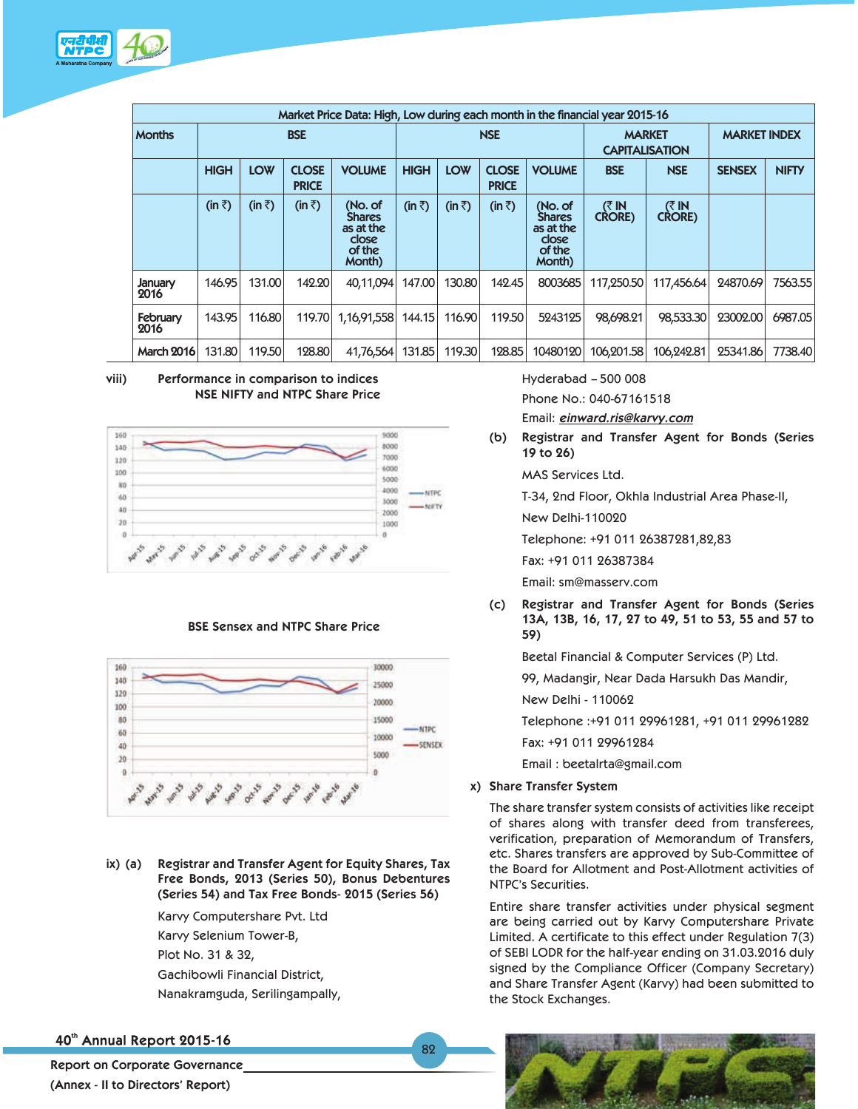

|                   | Market Price Data: High, Low during each month in the financial year 2015-16 |                |                              |                                                                           |                |                |                              |                                                                    |                         |                         |               |              |
|-------------------|------------------------------------------------------------------------------|----------------|------------------------------|---------------------------------------------------------------------------|----------------|----------------|------------------------------|--------------------------------------------------------------------|-------------------------|-------------------------|---------------|--------------|
| <b>Months</b>     | <b>BSE</b>                                                                   |                |                              |                                                                           | <b>NSE</b>     |                |                              | <b>MARKET</b><br><b>CAPITALISATION</b>                             |                         | <b>MARKET INDEX</b>     |               |              |
|                   | <b>HIGH</b>                                                                  | <b>LOW</b>     | <b>CLOSE</b><br><b>PRICE</b> | <b>VOLUME</b>                                                             | <b>HIGH</b>    | <b>LOW</b>     | <b>CLOSE</b><br><b>PRICE</b> | <b>VOLUME</b>                                                      | <b>BSE</b>              | <b>NSE</b>              | <b>SENSEX</b> | <b>NIFTY</b> |
|                   | $(in \bar{z})$                                                               | $(in \bar{z})$ | $(in \bar{z})$               | (No. of<br><b>Shares</b><br>as at the<br><b>Close</b><br>of the<br>Month) | $(in \bar{z})$ | $(in \bar{z})$ | $(in \bar{z})$               | (No. of<br><b>Shares</b><br>as at the<br>close<br>of the<br>Month) | (₹ IN<br><b>CRORE</b> ) | (₹ IN<br><b>CRORE</b> ) |               |              |
| January<br>2016   | 146.95                                                                       | 131.00         | 142.20                       | 40,11,094                                                                 | 147.00         | 130.80         | 142.45                       | 8003685                                                            | 117,250.50              | 117,456.64              | 24870.69      | 7563.55      |
| February<br>2016  | 143.95                                                                       | 116.80         | 119.70                       | 1,16,91,558                                                               | 144.15         | 116.90         | 119.50                       | 5243125                                                            | 98,698.21               | 98,533.30               | 23002.00      | 6987.05      |
| <b>March 2016</b> | 131.80                                                                       | 119.50         | 128.80                       | 41,76,564                                                                 | 131.85         | 119.30         | 128.85                       | 10480120                                                           | 106,201.58              | 106,242.81              | 25341.86      | 7738.40      |

#### **viii) Performance in comparison to indices NSE NIFTY and NTPC Share Price**



## **BSE Sensex and NTPC Share Price**



**ix) (a) Registrar and Transfer Agent for Equity Shares, Tax Free Bonds, 2013 (Series 50), Bonus Debentures (Series 54) and Tax Free Bonds- 2015 (Series 56)**

> Karvy Computershare Pvt. Ltd Karvy Selenium Tower-B, Plot No. 31 & 32, Gachibowli Financial District, Nanakramguda, Serilingampally,

 Hyderabad – 500 008 Phone No.: 040-67161518 Email: *einward.ris@karvy.com*

 **(b) Registrar and Transfer Agent for Bonds (Series 19 to 26)**

MAS Services Ltd.

T-34, 2nd Floor, Okhla Industrial Area Phase-II,

New Delhi-110020

Telephone: +91 011 26387281,82,83

Fax: +91 011 26387384

Email: sm@masserv.com

 **(c) Registrar and Transfer Agent for Bonds (Series 13A, 13B, 16, 17, 27 to 49, 51 to 53, 55 and 57 to 59)**

Beetal Financial & Computer Services (P) Ltd.

99, Madangir, Near Dada Harsukh Das Mandir,

New Delhi - 110062

Telephone :+91 011 29961281, +91 011 29961282

Fax: +91 011 29961284

Email : beetalrta@gmail.com

## **x) Share Transfer System**

 The share transfer system consists of activities like receipt of shares along with transfer deed from transferees, verification, preparation of Memorandum of Transfers, etc. Shares transfers are approved by Sub-Committee of the Board for Allotment and Post-Allotment activities of NTPC's Securities.

 Entire share transfer activities under physical segment are being carried out by Karvy Computershare Private Limited. A certificate to this effect under Regulation 7(3) of SEBI LODR for the half-year ending on 31.03.2016 duly signed by the Compliance Officer (Company Secretary) and Share Transfer Agent (Karvy) had been submitted to the Stock Exchanges.

40th Annual Report 2015-16

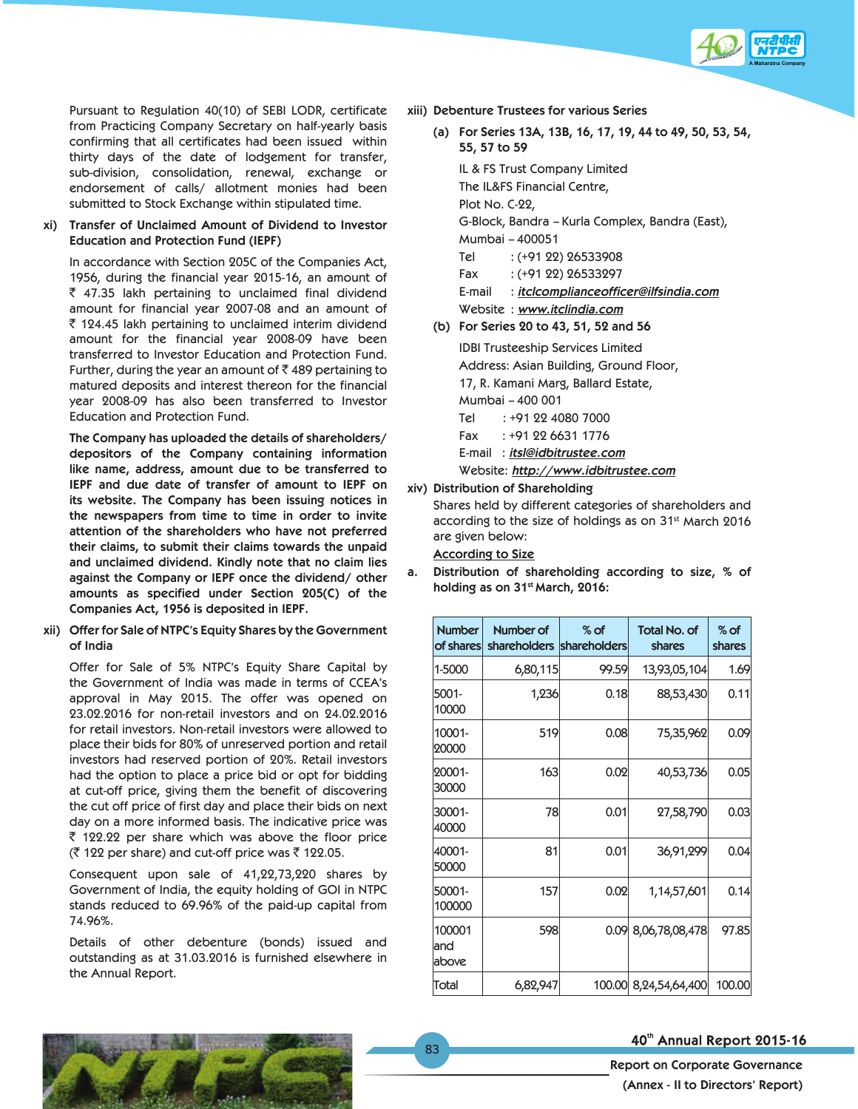

 Pursuant to Regulation 40(10) of SEBI LODR, certificate from Practicing Company Secretary on half-yearly basis confirming that all certificates had been issued within thirty days of the date of lodgement for transfer, sub-division, consolidation, renewal, exchange or endorsement of calls/ allotment monies had been submitted to Stock Exchange within stipulated time.

## **xi) Transfer of Unclaimed Amount of Dividend to Investor Education and Protection Fund (IEPF)**

In accordance with Section 205C of the Companies Act, 1956, during the financial year 2015-16, an amount of  $\bar{z}$  47.35 lakh pertaining to unclaimed final dividend amount for financial year 2007-08 and an amount of  $\bar{\tau}$  124.45 lakh pertaining to unclaimed interim dividend amount for the financial year 2008-09 have been transferred to Investor Education and Protection Fund. Further, during the year an amount of  $\bar{c}$  489 pertaining to matured deposits and interest thereon for the financial year 2008-09 has also been transferred to Investor Education and Protection Fund.

**The Company has uploaded the details of shareholders/ depositors of the Company containing information like name, address, amount due to be transferred to IEPF and due date of transfer of amount to IEPF on its website. The Company has been issuing notices in the newspapers from time to time in order to invite attention of the shareholders who have not preferred their claims, to submit their claims towards the unpaid and unclaimed dividend. Kindly note that no claim lies against the Company or IEPF once the dividend/ other amounts as specified under Section 205(C) of the Companies Act, 1956 is deposited in IEPF.**

**xii) Offer for Sale of NTPC's Equity Shares by the Government of India** 

 Offer for Sale of 5% NTPC's Equity Share Capital by the Government of India was made in terms of CCEA's approval in May 2015. The offer was opened on 23.02.2016 for non-retail investors and on 24.02.2016 for retail investors. Non-retail investors were allowed to place their bids for 80% of unreserved portion and retail investors had reserved portion of 20%. Retail investors had the option to place a price bid or opt for bidding at cut-off price, giving them the benefit of discovering the cut off price of first day and place their bids on next day on a more informed basis. The indicative price was  $\bar{\tau}$  122.22 per share which was above the floor price  $($   $\bar{z}$  122 per share) and cut-off price was  $\bar{z}$  122.05.

 Consequent upon sale of 41,22,73,220 shares by Government of India, the equity holding of GOI in NTPC stands reduced to 69.96% of the paid-up capital from 74.96%.

 Details of other debenture (bonds) issued and outstanding as at 31.03.2016 is furnished elsewhere in the Annual Report.

- **xiii) Debenture Trustees for various Series**
	- **(a) For Series 13A, 13B, 16, 17, 19, 44 to 49, 50, 53, 54, 55, 57 to 59**

 IL & FS Trust Company Limited The IL&FS Financial Centre, Plot No. C-22, G-Block, Bandra – Kurla Complex, Bandra (East),

Mumbai – 400051

- Tel : (+91 22) 26533908
- Fax : (+91 22) 26533297

E-mail : *itclcomplianceofficer@ilfsindia.com*

- Website : *www.itclindia.com*
- **(b) For Series 20 to 43, 51, 52 and 56**

 IDBI Trusteeship Services Limited Address: Asian Building, Ground Floor,

17, R. Kamani Marg, Ballard Estate,

Mumbai – 400 001

- Tel : +91 22 4080 7000
- Fax : +91 22 6631 1776

E-mail : *itsl@idbitrustee.com*

Website: *http://www.idbitrustee.com*

**xiv) Distribution of Shareholding**

 Shares held by different categories of shareholders and according to the size of holdings as on 31<sup>st</sup> March 2016 are given below:

**According to Size**

**a. Distribution of shareholding according to size, % of holding as on 31st March, 2016:**

| <b>Number</b><br>of shares | Number of<br>shareholders shareholders | $%$ of | <b>Total No. of</b><br>shares | $%$ of<br>shares |
|----------------------------|----------------------------------------|--------|-------------------------------|------------------|
| 1-5000                     | 6,80,115                               | 99.59  | 13,93,05,104                  | 1.69             |
| 5001-<br>10000             | 1,236                                  | 0.18   | 88,53,430                     | 0.11             |
| 10001-<br>20000            | 519                                    | 0.08   | 75,35,962                     | 0.09             |
| 20001-<br>30000            | 163                                    | 0.02   | 40,53,736                     | 0.05             |
| 30001-<br>40000            | 78                                     | 0.01   | 27,58,790                     | 0.03             |
| 40001-<br>50000            | 81                                     | 0.01   | 36,91,299                     | 0.04             |
| 50001-<br>100000           | 157                                    | 0.02   | 1,14,57,601                   | 0.14             |
| 100001<br>land<br>above    | 598                                    | 0.09   | 8,06,78,08,478                | 97.85            |
| Total                      | 6,82,947                               | 100.00 | 8,24,54,64,400                | 100.00           |

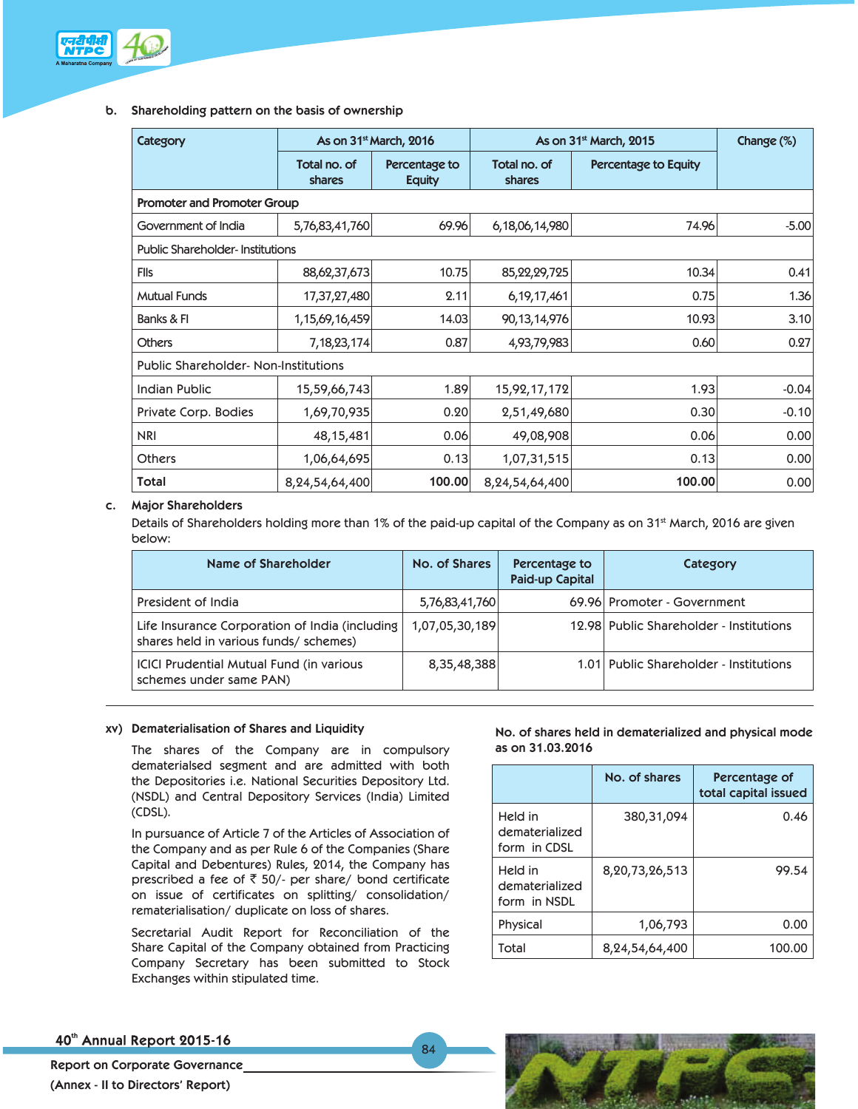

## **b. Shareholding pattern on the basis of ownership**

| Category                                   |                                    | As on 31 <sup>st</sup> March, 2016 | As on 31 <sup>st</sup> March, 2015 | Change (%)           |         |  |  |  |  |  |
|--------------------------------------------|------------------------------------|------------------------------------|------------------------------------|----------------------|---------|--|--|--|--|--|
|                                            | Total no. of<br>shares             | Percentage to<br><b>Equity</b>     | Total no. of<br>shares             | Percentage to Equity |         |  |  |  |  |  |
|                                            | <b>Promoter and Promoter Group</b> |                                    |                                    |                      |         |  |  |  |  |  |
| Government of India                        | 5,76,83,41,760                     | 69.96                              | 6,18,06,14,980                     | 74.96                | $-5.00$ |  |  |  |  |  |
| <b>Public Shareholder-Institutions</b>     |                                    |                                    |                                    |                      |         |  |  |  |  |  |
| <b>FIIs</b>                                | 88,62,37,673                       | 10.75                              | 85, 22, 29, 725                    | 10.34                | 0.41    |  |  |  |  |  |
| <b>Mutual Funds</b>                        | 17,37,27,480                       | 2.11                               | 6, 19, 17, 461                     | 0.75                 | 1.36    |  |  |  |  |  |
| Banks & FI                                 | 1, 15, 69, 16, 459                 | 14.03                              | 90,13,14,976                       | 10.93                | 3.10    |  |  |  |  |  |
| <b>Others</b>                              | 7, 18, 23, 174                     | 0.87                               | 4,93,79,983                        | 0.60                 | 0.27    |  |  |  |  |  |
| <b>Public Shareholder-Non-Institutions</b> |                                    |                                    |                                    |                      |         |  |  |  |  |  |
| Indian Public                              | 15,59,66,743                       | 1.89                               | 15,92,17,172                       | 1.93                 | $-0.04$ |  |  |  |  |  |
| Private Corp. Bodies                       | 1,69,70,935                        | 0.20                               | 2,51,49,680                        | 0.30                 | $-0.10$ |  |  |  |  |  |
| <b>NRI</b>                                 | 48, 15, 481                        | 0.06                               | 49,08,908                          | 0.06                 | 0.00    |  |  |  |  |  |
| <b>Others</b>                              | 1,06,64,695                        | 0.13                               | 1,07,31,515                        | 0.13                 | 0.00    |  |  |  |  |  |
| Total                                      | 8, 24, 54, 64, 400                 | 100.00                             | 8,24,54,64,400                     | 100.00               | 0.00    |  |  |  |  |  |

## **c. Major Shareholders**

Details of Shareholders holding more than 1% of the paid-up capital of the Company as on 31<sup>st</sup> March, 2016 are given below:

| <b>Name of Shareholder</b>                                                               | No. of Shares  | Percentage to<br><b>Paid-up Capital</b> | Category                                |
|------------------------------------------------------------------------------------------|----------------|-----------------------------------------|-----------------------------------------|
| President of India                                                                       | 5,76,83,41,760 |                                         | 69.96 Promoter - Government             |
| Life Insurance Corporation of India (including<br>shares held in various funds/ schemes) | 1,07,05,30,189 |                                         | 12.98 Public Shareholder - Institutions |
| ICICI Prudential Mutual Fund (in various<br>schemes under same PAN)                      | 8,35,48,388    |                                         | 1.01 Public Shareholder - Institutions  |

84

## **xv) Dematerialisation of Shares and Liquidity**

 The shares of the Company are in compulsory dematerialsed segment and are admitted with both the Depositories i.e. National Securities Depository Ltd. (NSDL) and Central Depository Services (India) Limited (CDSL).

 In pursuance of Article 7 of the Articles of Association of the Company and as per Rule 6 of the Companies (Share Capital and Debentures) Rules, 2014, the Company has prescribed a fee of  $\bar{z}$  50/- per share/ bond certificate on issue of certificates on splitting/ consolidation/ rematerialisation/ duplicate on loss of shares.

 Secretarial Audit Report for Reconciliation of the Share Capital of the Company obtained from Practicing Company Secretary has been submitted to Stock Exchanges within stipulated time.

**No. of shares held in dematerialized and physical mode as on 31.03.2016**

|                                           | No. of shares  | Percentage of<br>total capital issued |
|-------------------------------------------|----------------|---------------------------------------|
| Held in<br>dematerialized<br>form in CDSL | 380, 31, 094   | 0.46                                  |
| Held in<br>dematerialized<br>form in NSDL | 8,20,73,26,513 | 99.54                                 |
| Physical                                  | 1,06,793       | 0.00                                  |
| Total                                     | 8,24,54,64,400 | 100.0                                 |

40th Annual Report 2015-16



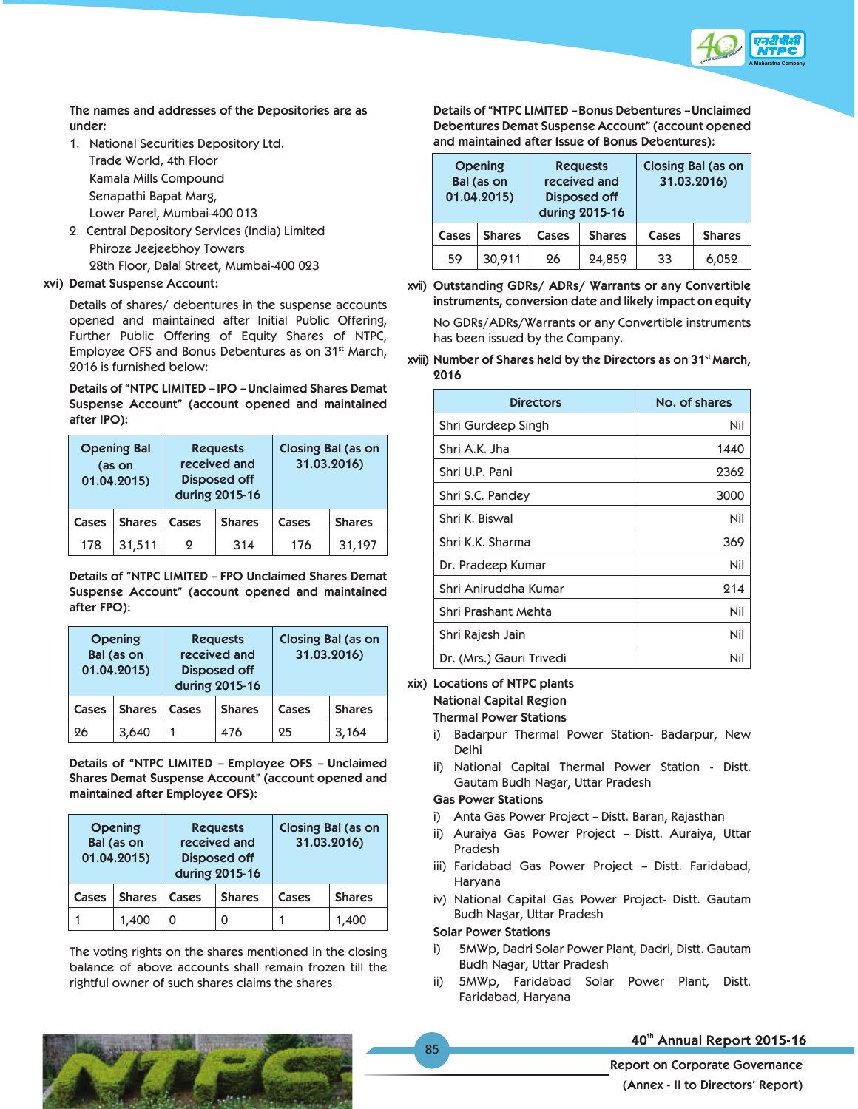

 **The names and addresses of the Depositories are as under:**

- 1. National Securities Depository Ltd. Trade World, 4th Floor Kamala Mills Compound Senapathi Bapat Marg, Lower Parel, Mumbai-400 013
- 2. Central Depository Services (India) Limited Phiroze Jeejeebhoy Towers 28th Floor, Dalal Street, Mumbai-400 023

## **xvi) Demat Suspense Account:**

 Details of shares/ debentures in the suspense accounts opened and maintained after Initial Public Offering, Further Public Offering of Equity Shares of NTPC, Employee OFS and Bonus Debentures as on 31<sup>st</sup> March, 2016 is furnished below:

**Details of "NTPC LIMITED – IPO – Unclaimed Shares Demat Suspense Account" (account opened and maintained after IPO):**

| <b>Opening Bal</b><br>(as on<br>01.04.2015) |               |       | <b>Requests</b><br>received and<br><b>Disposed off</b><br>during 2015-16 | <b>Closing Bal (as on</b><br>31.03.2016) |               |  |
|---------------------------------------------|---------------|-------|--------------------------------------------------------------------------|------------------------------------------|---------------|--|
| Cases                                       | <b>Shares</b> | Cases | <b>Shares</b>                                                            | Cases                                    | <b>Shares</b> |  |
| 178                                         | 31,511        | ջ     | 314                                                                      | 176                                      | 31,197        |  |

 **Details of "NTPC LIMITED – FPO Unclaimed Shares Demat Suspense Account" (account opened and maintained after FPO):**

| <b>Opening</b><br>Bal (as on<br>01.04.2015) |               | <b>Requests</b><br>received and<br><b>Disposed off</b><br>during 2015-16 |               | <b>Closing Bal (as on</b><br>31.03.2016) |               |
|---------------------------------------------|---------------|--------------------------------------------------------------------------|---------------|------------------------------------------|---------------|
| Cases                                       | <b>Shares</b> | Cases                                                                    | <b>Shares</b> | Cases                                    | <b>Shares</b> |
| 26                                          | 3,640         |                                                                          | 476           | 25                                       | 3,164         |

 **Details of "NTPC LIMITED – Employee OFS – Unclaimed Shares Demat Suspense Account" (account opened and maintained after Employee OFS):**

| <b>Opening</b><br>Bal (as on<br>01.04.2015) |               | <b>Requests</b><br>received and<br><b>Disposed off</b><br>during 2015-16 |               | <b>Closing Bal (as on</b><br>31.03.2016) |               |
|---------------------------------------------|---------------|--------------------------------------------------------------------------|---------------|------------------------------------------|---------------|
| Cases                                       | <b>Shares</b> | Cases                                                                    | <b>Shares</b> | Cases                                    | <b>Shares</b> |
|                                             | 1,400         | O                                                                        |               |                                          | 1,400         |

 The voting rights on the shares mentioned in the closing balance of above accounts shall remain frozen till the rightful owner of such shares claims the shares.

**Details of "NTPC LIMITED – Bonus Debentures – Unclaimed Debentures Demat Suspense Account" (account opened and maintained after Issue of Bonus Debentures):**

| <b>Opening</b><br>Bal (as on<br>01.04.2015) |               | <b>Requests</b><br>received and<br>Disposed off<br>during 2015-16 |               | <b>Closing Bal (as on</b><br>31.03.2016) |               |
|---------------------------------------------|---------------|-------------------------------------------------------------------|---------------|------------------------------------------|---------------|
| Cases                                       | <b>Shares</b> | Cases                                                             | <b>Shares</b> | Cases                                    | <b>Shares</b> |
| 59                                          | 30,911        | 26                                                                | 24,859        | 33                                       | 6,052         |

**xvii) Outstanding GDRs/ ADRs/ Warrants or any Convertible instruments, conversion date and likely impact on equity** 

No GDRs/ADRs/Warrants or any Convertible instruments has been issued by the Company.

### **xviii) Number of Shares held by the Directors as on 31st March, 2016**

| <b>Directors</b>         | No. of shares |
|--------------------------|---------------|
| Shri Gurdeep Singh       | Nil           |
| Shri A.K. Jha            | 1440          |
| Shri U.P. Pani           | 2362          |
| Shri S.C. Pandey         | 3000          |
| Shri K. Biswal           | Nil           |
| Shri K.K. Sharma         | 369           |
| Dr. Pradeep Kumar        | Nil           |
| Shri Aniruddha Kumar     | 214           |
| Shri Prashant Mehta      | Nil           |
| Shri Rajesh Jain         | Nil           |
| Dr. (Mrs.) Gauri Trivedi | Nil           |

## **xix) Locations of NTPC plants**

 **National Capital Region** 

### **Thermal Power Stations**

- i) Badarpur Thermal Power Station- Badarpur, New Delhi
- ii) National Capital Thermal Power Station Distt. Gautam Budh Nagar, Uttar Pradesh

## **Gas Power Stations**

- i) Anta Gas Power Project Distt. Baran, Rajasthan
- ii) Auraiya Gas Power Project Distt. Auraiya, Uttar Pradesh
- iii) Faridabad Gas Power Project Distt. Faridabad, Haryana
- iv) National Capital Gas Power Project- Distt. Gautam Budh Nagar, Uttar Pradesh

## **Solar Power Stations**

- i) 5MWp, Dadri Solar Power Plant, Dadri, Distt. Gautam Budh Nagar, Uttar Pradesh
- ii) 5MWp, Faridabad Solar Power Plant, Distt. Faridabad, Haryana



## 40th Annual Report 2015-16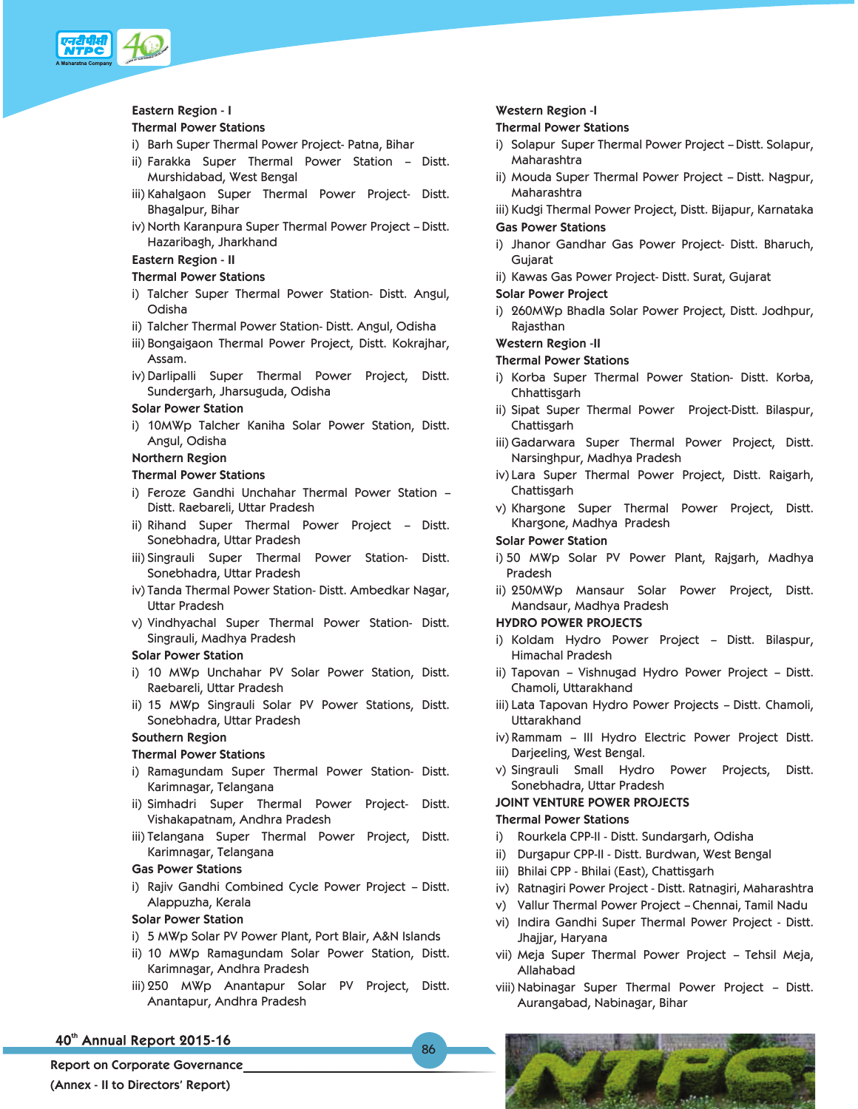

#### **Eastern Region - I**

#### **Thermal Power Stations**

- i) Barh Super Thermal Power Project- Patna, Bihar
- ii) Farakka Super Thermal Power Station Distt. Murshidabad, West Bengal
- iii) Kahalgaon Super Thermal Power Project- Distt. Bhagalpur, Bihar
- iv) North Karanpura Super Thermal Power Project Distt. Hazaribagh, Jharkhand

## **Eastern Region - II**

## **Thermal Power Stations**

- i) Talcher Super Thermal Power Station- Distt. Angul, Odisha
- ii) Talcher Thermal Power Station- Distt. Angul, Odisha
- iii) Bongaigaon Thermal Power Project, Distt. Kokrajhar, Assam.
- iv) Darlipalli Super Thermal Power Project, Distt. Sundergarh, Jharsuguda, Odisha

### **Solar Power Station**

i) 10MWp Talcher Kaniha Solar Power Station, Distt. Angul, Odisha

### **Northern Region**

### **Thermal Power Stations**

- i) Feroze Gandhi Unchahar Thermal Power Station Distt. Raebareli, Uttar Pradesh
- ii) Rihand Super Thermal Power Project Distt. Sonebhadra, Uttar Pradesh
- iii) Singrauli Super Thermal Power Station- Distt. Sonebhadra, Uttar Pradesh
- iv) Tanda Thermal Power Station- Distt. Ambedkar Nagar, Uttar Pradesh
- v) Vindhyachal Super Thermal Power Station- Distt. Singrauli, Madhya Pradesh

#### **Solar Power Station**

- i) 10 MWp Unchahar PV Solar Power Station, Distt. Raebareli, Uttar Pradesh
- ii) 15 MWp Singrauli Solar PV Power Stations, Distt. Sonebhadra, Uttar Pradesh

### **Southern Region**

## **Thermal Power Stations**

- i) Ramagundam Super Thermal Power Station- Distt. Karimnagar, Telangana
- ii) Simhadri Super Thermal Power Project- Distt. Vishakapatnam, Andhra Pradesh
- iii) Telangana Super Thermal Power Project, Distt. Karimnagar, Telangana

## **Gas Power Stations**

i) Rajiv Gandhi Combined Cycle Power Project – Distt. Alappuzha, Kerala

#### **Solar Power Station**

- i) 5 MWp Solar PV Power Plant, Port Blair, A&N Islands
- ii) 10 MWp Ramagundam Solar Power Station, Distt. Karimnagar, Andhra Pradesh
- iii) 250 MWp Anantapur Solar PV Project, Distt. Anantapur, Andhra Pradesh

86

## 40th Annual Report 2015-16

**Report on Corporate Governance (Annex - II to Directors' Report)** 

## **Western Region -I**

#### **Thermal Power Stations**

- i) Solapur Super Thermal Power Project Distt. Solapur, Maharashtra
- ii) Mouda Super Thermal Power Project Distt. Nagpur, Maharashtra

 iii) Kudgi Thermal Power Project, Distt. Bijapur, Karnataka  **Gas Power Stations** 

 i) Jhanor Gandhar Gas Power Project- Distt. Bharuch, Gujarat

ii) Kawas Gas Power Project- Distt. Surat, Gujarat

- **Solar Power Project**
- i) 260MWp Bhadla Solar Power Project, Distt. Jodhpur, Rajasthan

#### **Western Region -II**

### **Thermal Power Stations**

- i) Korba Super Thermal Power Station- Distt. Korba, Chhattisgarh
- ii) Sipat Super Thermal Power Project-Distt. Bilaspur, Chattisgarh
- iii) Gadarwara Super Thermal Power Project, Distt. Narsinghpur, Madhya Pradesh
- iv) Lara Super Thermal Power Project, Distt. Raigarh, Chattisgarh
- v) Khargone Super Thermal Power Project, Distt. Khargone, Madhya Pradesh

## **Solar Power Station**

- i) 50 MWp Solar PV Power Plant, Rajgarh, Madhya Pradesh
- ii) 250MWp Mansaur Solar Power Project, Distt. Mandsaur, Madhya Pradesh

## **HYDRO POWER PROJECTS**

- i) Koldam Hydro Power Project Distt. Bilaspur, Himachal Pradesh
- ii) Tapovan Vishnugad Hydro Power Project Distt. Chamoli, Uttarakhand
- iii) Lata Tapovan Hydro Power Projects Distt. Chamoli, Uttarakhand
- iv) Rammam III Hydro Electric Power Project Distt. Darjeeling, West Bengal.
- v) Singrauli Small Hydro Power Projects, Distt. Sonebhadra, Uttar Pradesh

# **JOINT VENTURE POWER PROJECTS**

## **Thermal Power Stations**

- i) Rourkela CPP-II Distt. Sundargarh, Odisha
- ii) Durgapur CPP-II Distt. Burdwan, West Bengal
- iii) Bhilai CPP Bhilai (East), Chattisgarh
- iv) Ratnagiri Power Project Distt. Ratnagiri, Maharashtra
- v) Vallur Thermal Power Project Chennai, Tamil Nadu
- vi) Indira Gandhi Super Thermal Power Project Distt. Jhajjar, Haryana
- vii) Meja Super Thermal Power Project Tehsil Meja, Allahabad
- viii) Nabinagar Super Thermal Power Project Distt. Aurangabad, Nabinagar, Bihar

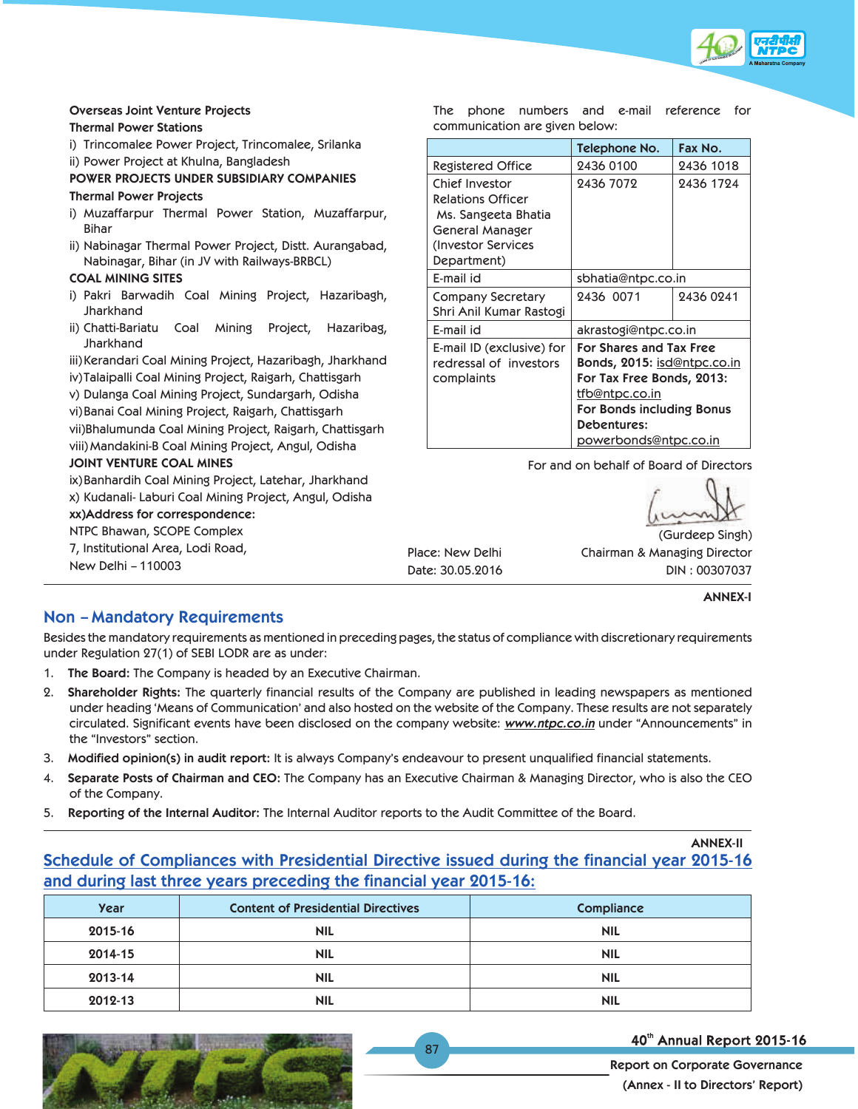

## **Overseas Joint Venture Projects**

#### **Thermal Power Stations**

i) Trincomalee Power Project, Trincomalee, Srilanka

ii) Power Project at Khulna, Bangladesh

 **POWER PROJECTS UNDER SUBSIDIARY COMPANIES** 

## **Thermal Power Projects**

- i) Muzaffarpur Thermal Power Station, Muzaffarpur, Bihar
- ii) Nabinagar Thermal Power Project, Distt. Aurangabad, Nabinagar, Bihar (in JV with Railways-BRBCL)

## **COAL MINING SITES**

- i) Pakri Barwadih Coal Mining Project, Hazaribagh, **Jharkhand**
- ii) Chatti-Bariatu Coal Mining Project, Hazaribag, **Jharkhand**

 iii) Kerandari Coal Mining Project, Hazaribagh, Jharkhand iv) Talaipalli Coal Mining Project, Raigarh, Chattisgarh

v) Dulanga Coal Mining Project, Sundargarh, Odisha

vi) Banai Coal Mining Project, Raigarh, Chattisgarh

 vii)Bhalumunda Coal Mining Project, Raigarh, Chattisgarh viii) Mandakini-B Coal Mining Project, Angul, Odisha

## **JOINT VENTURE COAL MINES**

 ix) Banhardih Coal Mining Project, Latehar, Jharkhand x) Kudanali- Laburi Coal Mining Project, Angul, Odisha **xx)Address for correspondence:** NTPC Bhawan, SCOPE Complex

 7, Institutional Area, Lodi Road, New Delhi – 110003

Place: New Delhi Date: 30.05.2016

 The phone numbers and e-mail reference for communication are given below:

|                           | Telephone No.                      | Fax No.   |  |
|---------------------------|------------------------------------|-----------|--|
| Registered Office         | 2436 0100                          | 2436 1018 |  |
| Chief Investor            | 2436 7072                          | 2436 1724 |  |
| <b>Relations Officer</b>  |                                    |           |  |
| Ms. Sangeeta Bhatia       |                                    |           |  |
| General Manager           |                                    |           |  |
| (Investor Services        |                                    |           |  |
| Department)               |                                    |           |  |
| E-mail id                 | sbhatia@ntpc.co.in                 |           |  |
| Company Secretary         | 2436 0071                          | 2436 0241 |  |
| Shri Anil Kumar Rastogi   |                                    |           |  |
| E-mail id                 | akrastogi@ntpc.co.in               |           |  |
| E-mail ID (exclusive) for | For Shares and Tax Free            |           |  |
| redressal of investors    | <b>Bonds, 2015: isd@ntpc.co.in</b> |           |  |
| complaints                | For Tax Free Bonds, 2013:          |           |  |
|                           | <u>tfb@ntpc.co.in</u>              |           |  |
|                           | For Bonds including Bonus          |           |  |
|                           | Debentures:                        |           |  |
|                           | powerbonds@ntpc.co.in              |           |  |

For and on behalf of Board of Directors

(Gurdeep Singh) Chairman & Managing Director DIN : 00307037

**ANNEX-I**

## **Non – Mandatory Requirements**

Besides the mandatory requirements as mentioned in preceding pages, the status of compliance with discretionary requirements under Regulation 27(1) of SEBI LODR are as under:

- 1. **The Board:** The Company is headed by an Executive Chairman.
- 2. **Shareholder Rights:** The quarterly financial results of the Company are published in leading newspapers as mentioned under heading 'Means of Communication' and also hosted on the website of the Company. These results are not separately circulated. Significant events have been disclosed on the company website: *www.ntpc.co.in* under "Announcements" in the "Investors" section.
- 3. **Modified opinion(s) in audit report:** It is always Company's endeavour to present unqualified financial statements.
- 4. **Separate Posts of Chairman and CEO:** The Company has an Executive Chairman & Managing Director, who is also the CEO of the Company.
- 5. **Reporting of the Internal Auditor:** The Internal Auditor reports to the Audit Committee of the Board.

## **Schedule of Compliances with Presidential Directive issued during the financial year 2015-16 and during last three years preceding the financial year 2015-16: ANNEX-II**

| Year    | <b>Content of Presidential Directives</b> | Compliance |
|---------|-------------------------------------------|------------|
| 2015-16 | <b>NIL</b>                                | <b>NIL</b> |
| 2014-15 | <b>NIL</b>                                | <b>NIL</b> |
| 2013-14 | <b>NIL</b>                                | <b>NIL</b> |
| 2012-13 | <b>NIL</b>                                | <b>NIL</b> |

87



40th Annual Report 2015-16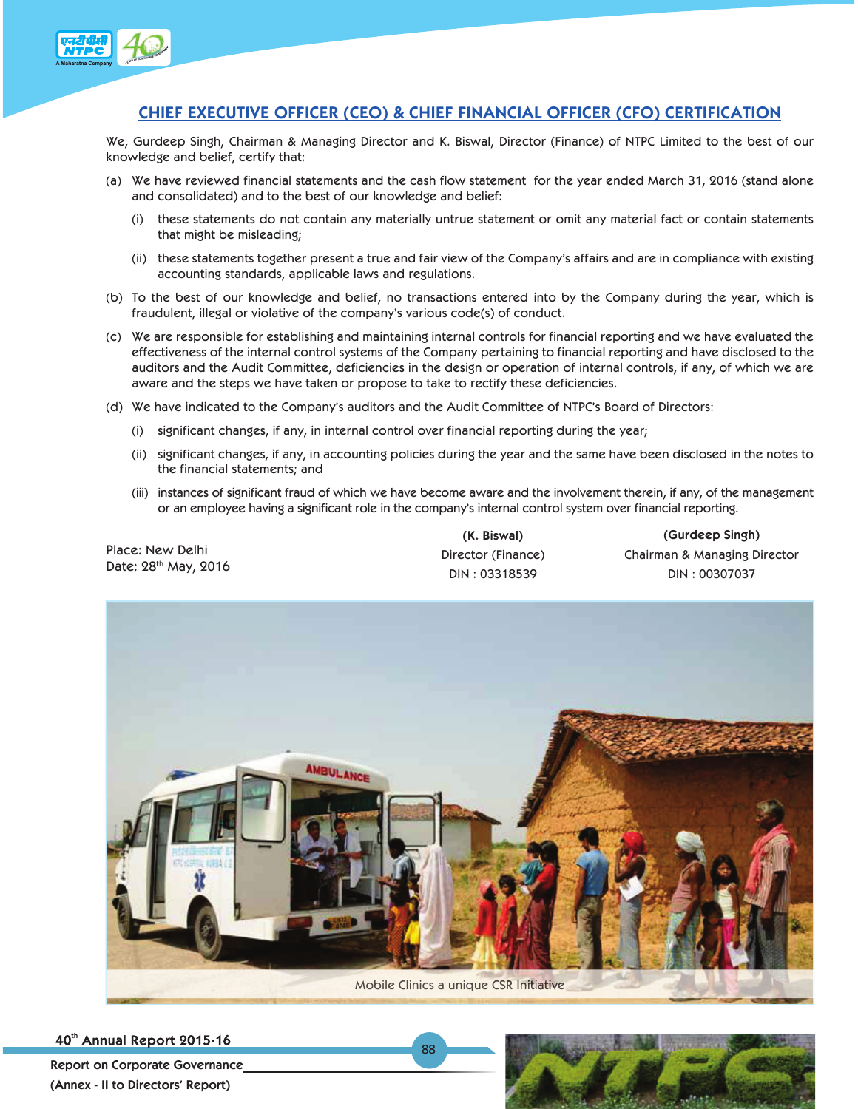

## **CHIEF EXECUTIVE OFFICER (CEO) & CHIEF FINANCIAL OFFICER (CFO) CERTIFICATION**

We, Gurdeep Singh, Chairman & Managing Director and K. Biswal, Director (Finance) of NTPC Limited to the best of our knowledge and belief, certify that:

- (a) We have reviewed financial statements and the cash flow statement for the year ended March 31, 2016 (stand alone and consolidated) and to the best of our knowledge and belief:
	- (i) these statements do not contain any materially untrue statement or omit any material fact or contain statements that might be misleading;
	- (ii) these statements together present a true and fair view of the Company's affairs and are in compliance with existing accounting standards, applicable laws and regulations.
- (b) To the best of our knowledge and belief, no transactions entered into by the Company during the year, which is fraudulent, illegal or violative of the company's various code(s) of conduct.
- (c) We are responsible for establishing and maintaining internal controls for financial reporting and we have evaluated the effectiveness of the internal control systems of the Company pertaining to financial reporting and have disclosed to the auditors and the Audit Committee, deficiencies in the design or operation of internal controls, if any, of which we are aware and the steps we have taken or propose to take to rectify these deficiencies.
- (d) We have indicated to the Company's auditors and the Audit Committee of NTPC's Board of Directors:
	- (i) significant changes, if any, in internal control over financial reporting during the year;
	- (ii) significant changes, if any, in accounting policies during the year and the same have been disclosed in the notes to the financial statements; and
	- (iii) instances of significant fraud of which we have become aware and the involvement therein, if any, of the management or an employee having a significant role in the company's internal control system over financial reporting.

|                      | (K. Biswal)        | (Gurdeep Singh)              |
|----------------------|--------------------|------------------------------|
| Place: New Delhi     | Director (Finance) | Chairman & Managing Director |
| Date: 28th May, 2016 | DIN: 03318539      | DIN: 00307037                |



88

40th Annual Report 2015-16